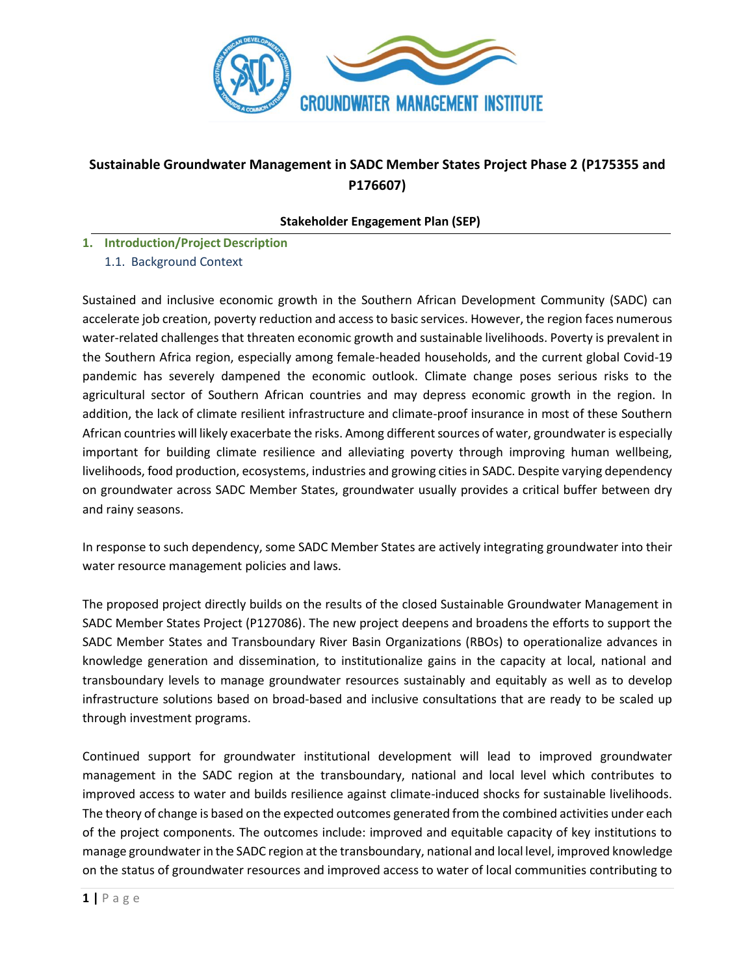

# **Sustainable Groundwater Management in SADC Member States Project Phase 2 (P175355 and P176607)**

#### **Stakeholder Engagement Plan (SEP)**

- **1. Introduction/Project Description**
	- 1.1. Background Context

Sustained and inclusive economic growth in the Southern African Development Community (SADC) can accelerate job creation, poverty reduction and access to basic services. However, the region faces numerous water-related challenges that threaten economic growth and sustainable livelihoods. Poverty is prevalent in the Southern Africa region, especially among female-headed households, and the current global Covid-19 pandemic has severely dampened the economic outlook. Climate change poses serious risks to the agricultural sector of Southern African countries and may depress economic growth in the region. In addition, the lack of climate resilient infrastructure and climate-proof insurance in most of these Southern African countries will likely exacerbate the risks. Among different sources of water, groundwater is especially important for building climate resilience and alleviating poverty through improving human wellbeing, livelihoods, food production, ecosystems, industries and growing cities in SADC. Despite varying dependency on groundwater across SADC Member States, groundwater usually provides a critical buffer between dry and rainy seasons.

In response to such dependency, some SADC Member States are actively integrating groundwater into their water resource management policies and laws.

The proposed project directly builds on the results of the closed Sustainable Groundwater Management in SADC Member States Project (P127086). The new project deepens and broadens the efforts to support the SADC Member States and Transboundary River Basin Organizations (RBOs) to operationalize advances in knowledge generation and dissemination, to institutionalize gains in the capacity at local, national and transboundary levels to manage groundwater resources sustainably and equitably as well as to develop infrastructure solutions based on broad-based and inclusive consultations that are ready to be scaled up through investment programs.

Continued support for groundwater institutional development will lead to improved groundwater management in the SADC region at the transboundary, national and local level which contributes to improved access to water and builds resilience against climate-induced shocks for sustainable livelihoods. The theory of change is based on the expected outcomes generated from the combined activities under each of the project components. The outcomes include: improved and equitable capacity of key institutions to manage groundwater in the SADC region at the transboundary, national and local level, improved knowledge on the status of groundwater resources and improved access to water of local communities contributing to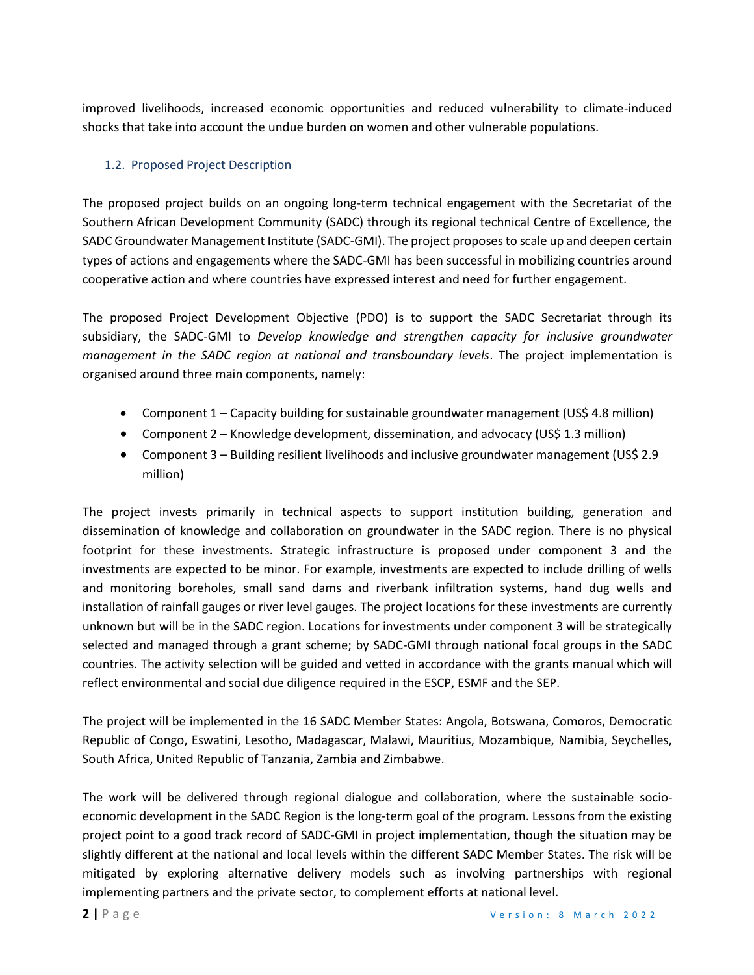improved livelihoods, increased economic opportunities and reduced vulnerability to climate-induced shocks that take into account the undue burden on women and other vulnerable populations.

# 1.2. Proposed Project Description

The proposed project builds on an ongoing long-term technical engagement with the Secretariat of the Southern African Development Community (SADC) through its regional technical Centre of Excellence, the SADC Groundwater Management Institute (SADC-GMI). The project proposes to scale up and deepen certain types of actions and engagements where the SADC-GMI has been successful in mobilizing countries around cooperative action and where countries have expressed interest and need for further engagement.

The proposed Project Development Objective (PDO) is to support the SADC Secretariat through its subsidiary, the SADC-GMI to *Develop knowledge and strengthen capacity for inclusive groundwater management in the SADC region at national and transboundary levels*. The project implementation is organised around three main components, namely:

- Component 1 Capacity building for sustainable groundwater management (US\$ 4.8 million)
- Component 2 Knowledge development, dissemination, and advocacy (US\$ 1.3 million)
- Component 3 Building resilient livelihoods and inclusive groundwater management (US\$ 2.9) million)

The project invests primarily in technical aspects to support institution building, generation and dissemination of knowledge and collaboration on groundwater in the SADC region. There is no physical footprint for these investments. Strategic infrastructure is proposed under component 3 and the investments are expected to be minor. For example, investments are expected to include drilling of wells and monitoring boreholes, small sand dams and riverbank infiltration systems, hand dug wells and installation of rainfall gauges or river level gauges. The project locations for these investments are currently unknown but will be in the SADC region. Locations for investments under component 3 will be strategically selected and managed through a grant scheme; by SADC-GMI through national focal groups in the SADC countries. The activity selection will be guided and vetted in accordance with the grants manual which will reflect environmental and social due diligence required in the ESCP, ESMF and the SEP.

The project will be implemented in the 16 SADC Member States: Angola, Botswana, Comoros, Democratic Republic of Congo, Eswatini, Lesotho, Madagascar, Malawi, Mauritius, Mozambique, Namibia, Seychelles, South Africa, United Republic of Tanzania, Zambia and Zimbabwe.

The work will be delivered through regional dialogue and collaboration, where the sustainable socioeconomic development in the SADC Region is the long-term goal of the program. Lessons from the existing project point to a good track record of SADC-GMI in project implementation, though the situation may be slightly different at the national and local levels within the different SADC Member States. The risk will be mitigated by exploring alternative delivery models such as involving partnerships with regional implementing partners and the private sector, to complement efforts at national level.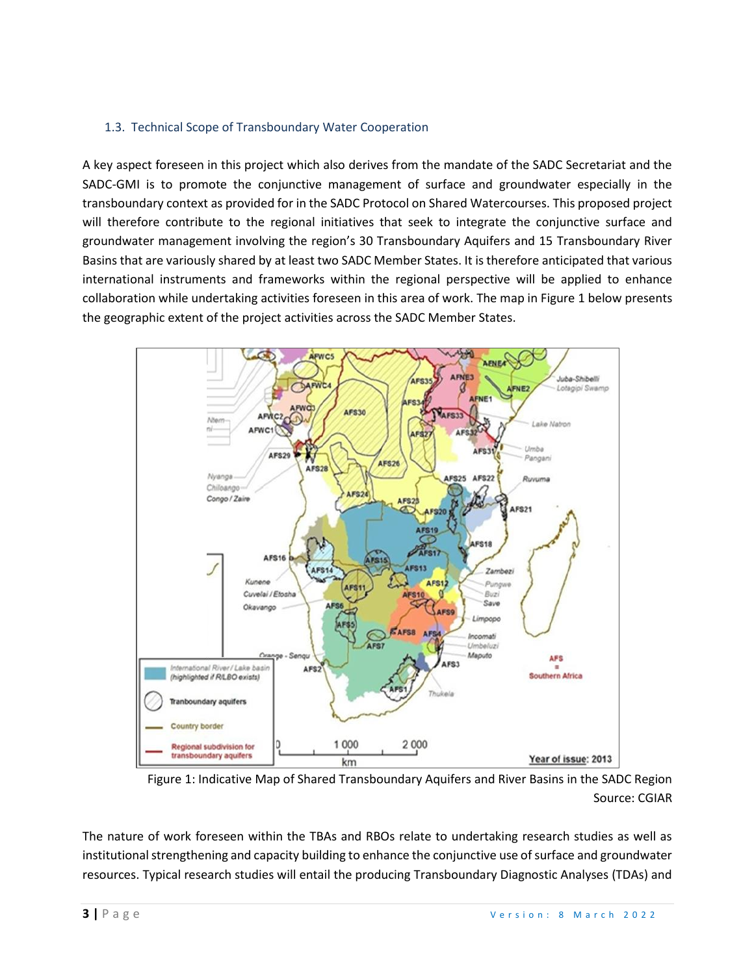#### 1.3. Technical Scope of Transboundary Water Cooperation

A key aspect foreseen in this project which also derives from the mandate of the SADC Secretariat and the SADC-GMI is to promote the conjunctive management of surface and groundwater especially in the transboundary context as provided for in the SADC Protocol on Shared Watercourses. This proposed project will therefore contribute to the regional initiatives that seek to integrate the conjunctive surface and groundwater management involving the region's 30 Transboundary Aquifers and 15 Transboundary River Basins that are variously shared by at least two SADC Member States. It is therefore anticipated that various international instruments and frameworks within the regional perspective will be applied to enhance collaboration while undertaking activities foreseen in this area of work. The map in Figure 1 below presents the geographic extent of the project activities across the SADC Member States.



Figure 1: Indicative Map of Shared Transboundary Aquifers and River Basins in the SADC Region Source: CGIAR

The nature of work foreseen within the TBAs and RBOs relate to undertaking research studies as well as institutional strengthening and capacity building to enhance the conjunctive use of surface and groundwater resources. Typical research studies will entail the producing Transboundary Diagnostic Analyses (TDAs) and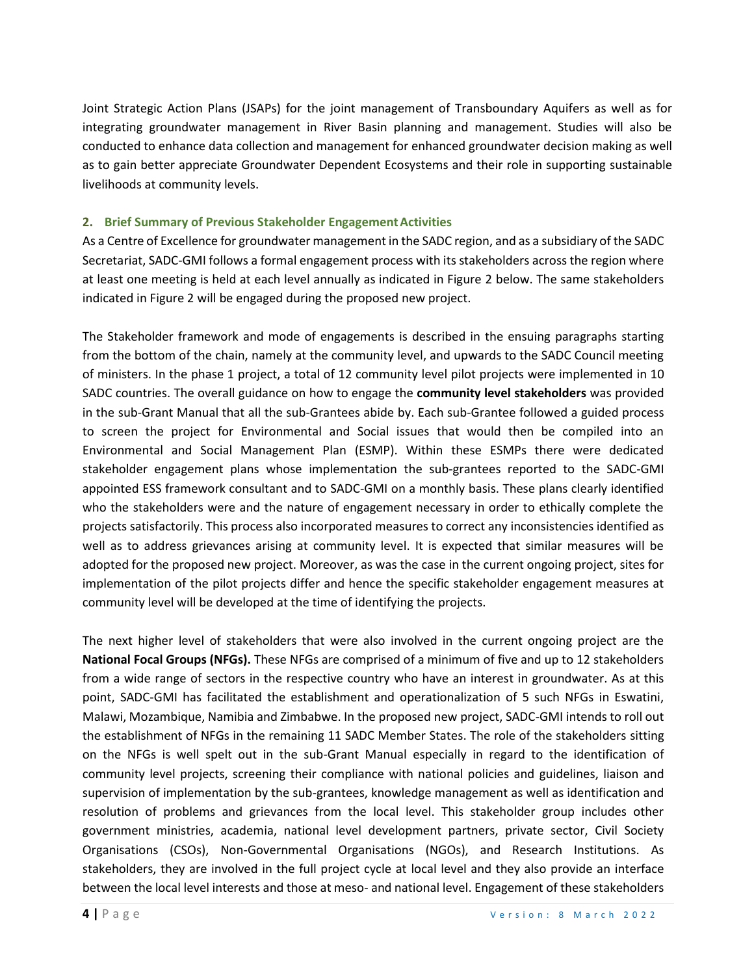Joint Strategic Action Plans (JSAPs) for the joint management of Transboundary Aquifers as well as for integrating groundwater management in River Basin planning and management. Studies will also be conducted to enhance data collection and management for enhanced groundwater decision making as well as to gain better appreciate Groundwater Dependent Ecosystems and their role in supporting sustainable livelihoods at community levels.

#### **2. Brief Summary of Previous Stakeholder Engagement Activities**

As a Centre of Excellence for groundwater management in the SADC region, and as a subsidiary of the SADC Secretariat, SADC-GMI follows a formal engagement process with its stakeholders across the region where at least one meeting is held at each level annually as indicated in Figure 2 below. The same stakeholders indicated in Figure 2 will be engaged during the proposed new project.

The Stakeholder framework and mode of engagements is described in the ensuing paragraphs starting from the bottom of the chain, namely at the community level, and upwards to the SADC Council meeting of ministers. In the phase 1 project, a total of 12 community level pilot projects were implemented in 10 SADC countries. The overall guidance on how to engage the **community level stakeholders** was provided in the sub-Grant Manual that all the sub-Grantees abide by. Each sub-Grantee followed a guided process to screen the project for Environmental and Social issues that would then be compiled into an Environmental and Social Management Plan (ESMP). Within these ESMPs there were dedicated stakeholder engagement plans whose implementation the sub-grantees reported to the SADC-GMI appointed ESS framework consultant and to SADC-GMI on a monthly basis. These plans clearly identified who the stakeholders were and the nature of engagement necessary in order to ethically complete the projects satisfactorily. This process also incorporated measures to correct any inconsistencies identified as well as to address grievances arising at community level. It is expected that similar measures will be adopted for the proposed new project. Moreover, as was the case in the current ongoing project, sites for implementation of the pilot projects differ and hence the specific stakeholder engagement measures at community level will be developed at the time of identifying the projects.

The next higher level of stakeholders that were also involved in the current ongoing project are the **National Focal Groups (NFGs).** These NFGs are comprised of a minimum of five and up to 12 stakeholders from a wide range of sectors in the respective country who have an interest in groundwater. As at this point, SADC-GMI has facilitated the establishment and operationalization of 5 such NFGs in Eswatini, Malawi, Mozambique, Namibia and Zimbabwe. In the proposed new project, SADC-GMI intends to roll out the establishment of NFGs in the remaining 11 SADC Member States. The role of the stakeholders sitting on the NFGs is well spelt out in the sub-Grant Manual especially in regard to the identification of community level projects, screening their compliance with national policies and guidelines, liaison and supervision of implementation by the sub-grantees, knowledge management as well as identification and resolution of problems and grievances from the local level. This stakeholder group includes other government ministries, academia, national level development partners, private sector, Civil Society Organisations (CSOs), Non-Governmental Organisations (NGOs), and Research Institutions. As stakeholders, they are involved in the full project cycle at local level and they also provide an interface between the local level interests and those at meso- and national level. Engagement of these stakeholders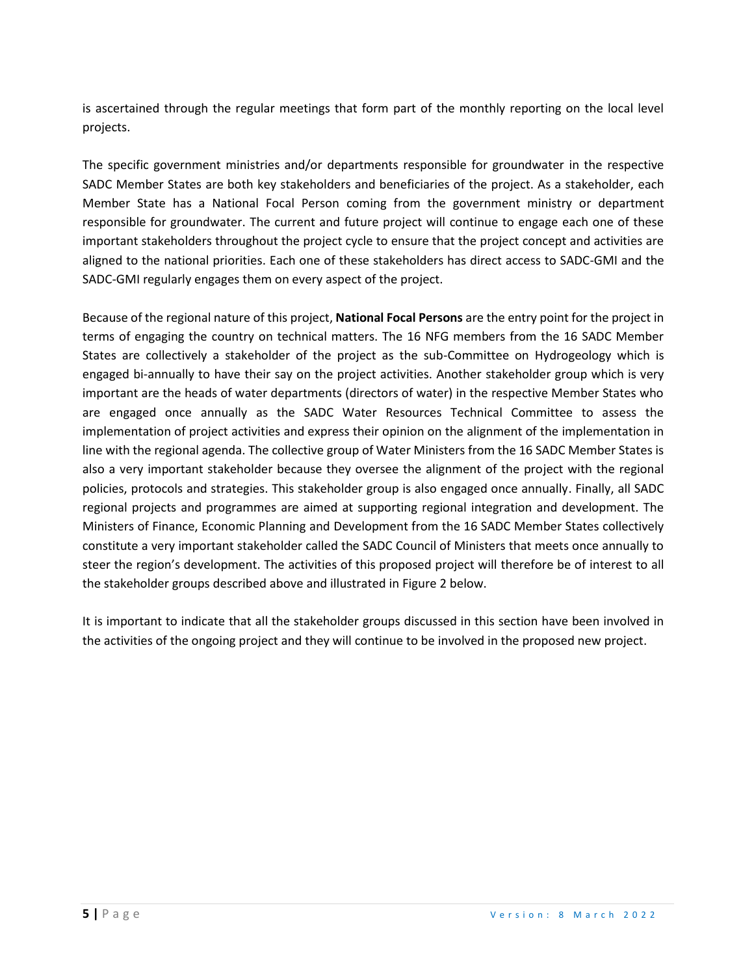is ascertained through the regular meetings that form part of the monthly reporting on the local level projects.

The specific government ministries and/or departments responsible for groundwater in the respective SADC Member States are both key stakeholders and beneficiaries of the project. As a stakeholder, each Member State has a National Focal Person coming from the government ministry or department responsible for groundwater. The current and future project will continue to engage each one of these important stakeholders throughout the project cycle to ensure that the project concept and activities are aligned to the national priorities. Each one of these stakeholders has direct access to SADC-GMI and the SADC-GMI regularly engages them on every aspect of the project.

Because of the regional nature of this project, **National Focal Persons** are the entry point for the project in terms of engaging the country on technical matters. The 16 NFG members from the 16 SADC Member States are collectively a stakeholder of the project as the sub-Committee on Hydrogeology which is engaged bi-annually to have their say on the project activities. Another stakeholder group which is very important are the heads of water departments (directors of water) in the respective Member States who are engaged once annually as the SADC Water Resources Technical Committee to assess the implementation of project activities and express their opinion on the alignment of the implementation in line with the regional agenda. The collective group of Water Ministers from the 16 SADC Member States is also a very important stakeholder because they oversee the alignment of the project with the regional policies, protocols and strategies. This stakeholder group is also engaged once annually. Finally, all SADC regional projects and programmes are aimed at supporting regional integration and development. The Ministers of Finance, Economic Planning and Development from the 16 SADC Member States collectively constitute a very important stakeholder called the SADC Council of Ministers that meets once annually to steer the region's development. The activities of this proposed project will therefore be of interest to all the stakeholder groups described above and illustrated in Figure 2 below.

It is important to indicate that all the stakeholder groups discussed in this section have been involved in the activities of the ongoing project and they will continue to be involved in the proposed new project.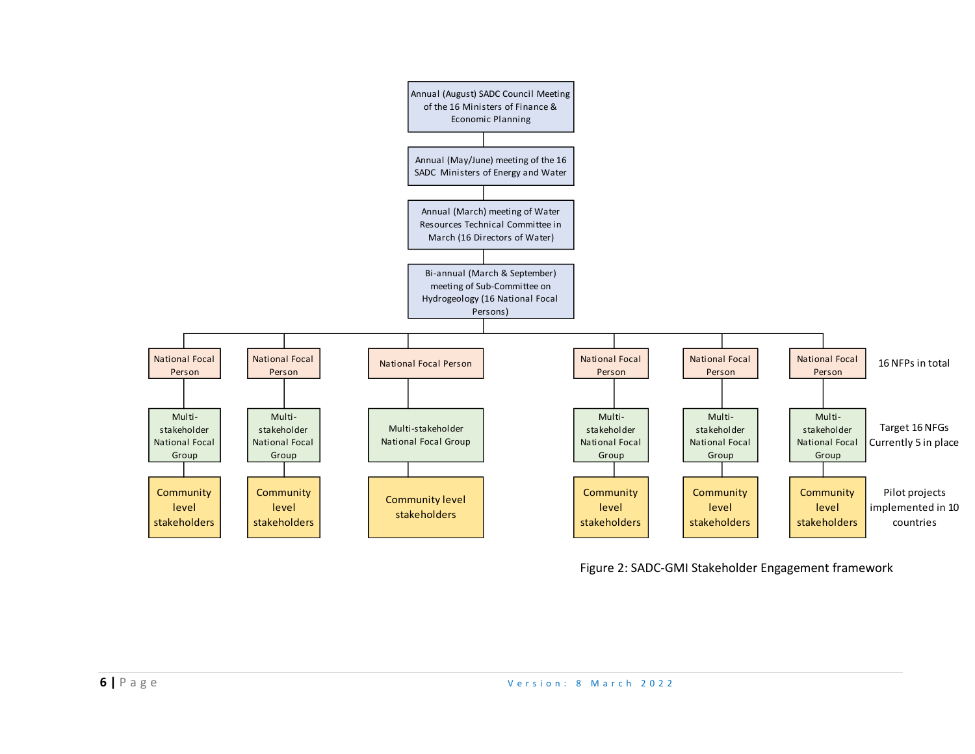

Figure 2: SADC-GMI Stakeholder Engagement framework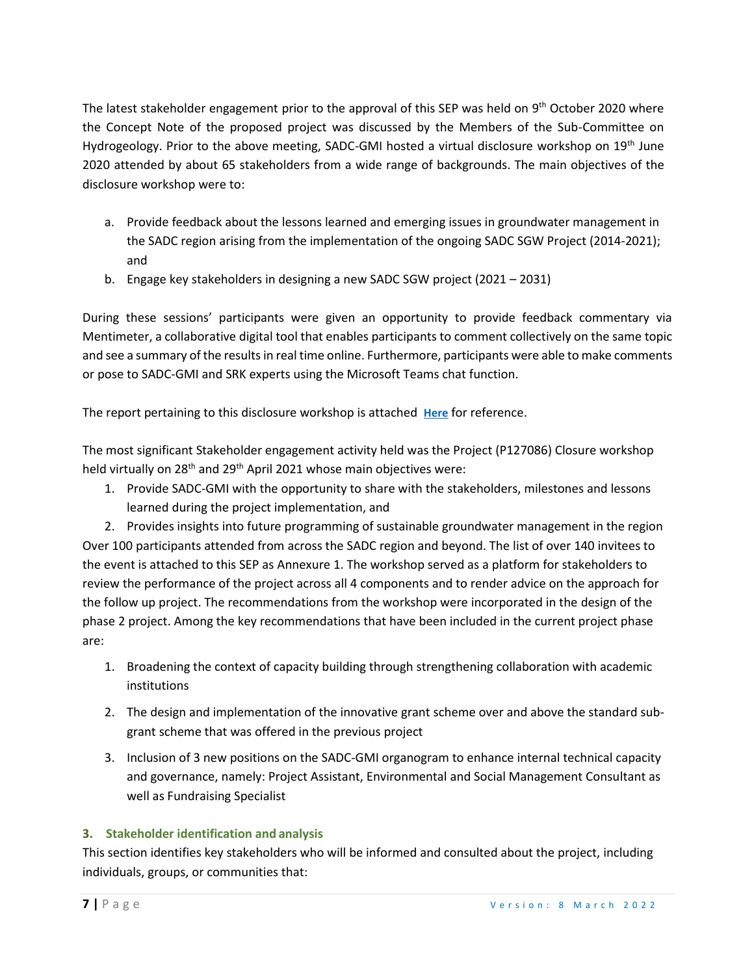The latest stakeholder engagement prior to the approval of this SEP was held on 9<sup>th</sup> October 2020 where the Concept Note of the proposed project was discussed by the Members of the Sub-Committee on Hydrogeology. Prior to the above meeting, SADC-GMI hosted a virtual disclosure workshop on 19<sup>th</sup> June 2020 attended by about 65 stakeholders from a wide range of backgrounds. The main objectives of the disclosure workshop were to:

- a. Provide feedback about the lessons learned and emerging issues in groundwater management in the SADC region arising from the implementation of the ongoing SADC SGW Project (2014-2021); and
- b. Engage key stakeholders in designing a new SADC SGW project (2021 2031)

During these sessions' participants were given an opportunity to provide feedback commentary via Mentimeter, a collaborative digital tool that enables participants to comment collectively on the same topic and see a summary of the results in real time online. Furthermore, participants were able to make comments or pose to SADC-GMI and SRK experts using the Microsoft Teams chat function.

The report pertaining to this disclosure workshop is attached **[Here](about:blank)** for reference.

The most significant Stakeholder engagement activity held was the Project (P127086) Closure workshop held virtually on 28<sup>th</sup> and 29<sup>th</sup> April 2021 whose main objectives were:

1. Provide SADC-GMI with the opportunity to share with the stakeholders, milestones and lessons learned during the project implementation, and

2. Provides insights into future programming of sustainable groundwater management in the region Over 100 participants attended from across the SADC region and beyond. The list of over 140 invitees to the event is attached to this SEP as Annexure 1. The workshop served as a platform for stakeholders to review the performance of the project across all 4 components and to render advice on the approach for the follow up project. The recommendations from the workshop were incorporated in the design of the phase 2 project. Among the key recommendations that have been included in the current project phase are:

- 1. Broadening the context of capacity building through strengthening collaboration with academic institutions
- 2. The design and implementation of the innovative grant scheme over and above the standard subgrant scheme that was offered in the previous project
- 3. Inclusion of 3 new positions on the SADC-GMI organogram to enhance internal technical capacity and governance, namely: Project Assistant, Environmental and Social Management Consultant as well as Fundraising Specialist

## **3. Stakeholder identification and analysis**

This section identifies key stakeholders who will be informed and consulted about the project, including individuals, groups, or communities that: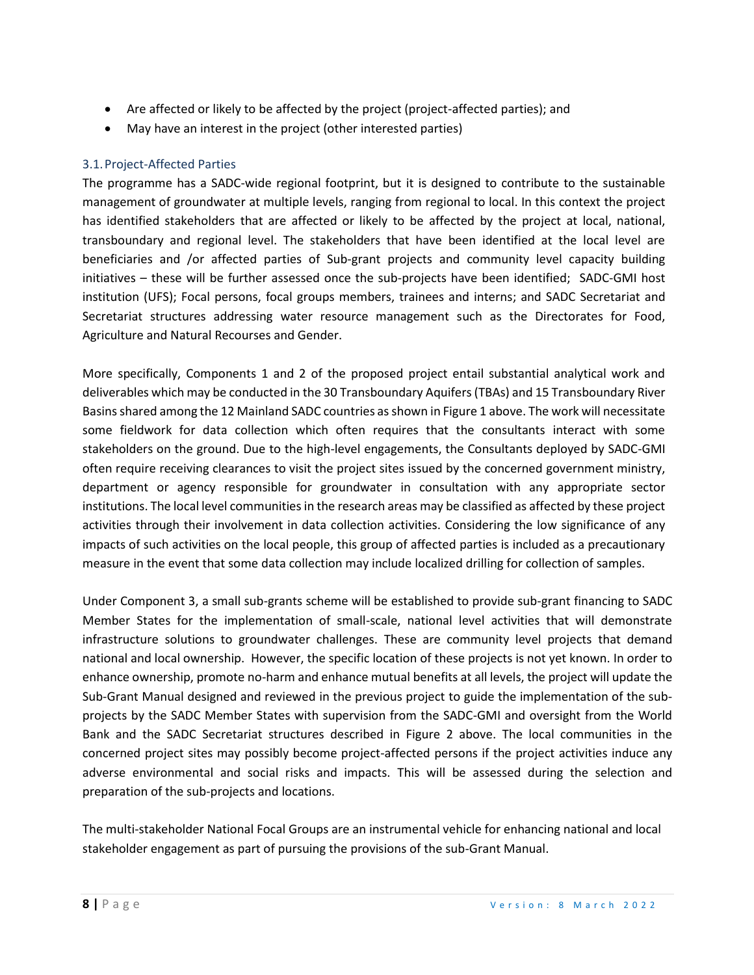- Are affected or likely to be affected by the project (project-affected parties); and
- May have an interest in the project (other interested parties)

#### 3.1.Project-Affected Parties

The programme has a SADC-wide regional footprint, but it is designed to contribute to the sustainable management of groundwater at multiple levels, ranging from regional to local. In this context the project has identified stakeholders that are affected or likely to be affected by the project at local, national, transboundary and regional level. The stakeholders that have been identified at the local level are beneficiaries and /or affected parties of Sub-grant projects and community level capacity building initiatives – these will be further assessed once the sub-projects have been identified; SADC-GMI host institution (UFS); Focal persons, focal groups members, trainees and interns; and SADC Secretariat and Secretariat structures addressing water resource management such as the Directorates for Food, Agriculture and Natural Recourses and Gender.

More specifically, Components 1 and 2 of the proposed project entail substantial analytical work and deliverables which may be conducted in the 30 Transboundary Aquifers (TBAs) and 15 Transboundary River Basins shared among the 12 Mainland SADC countries as shown in Figure 1 above. The work will necessitate some fieldwork for data collection which often requires that the consultants interact with some stakeholders on the ground. Due to the high-level engagements, the Consultants deployed by SADC-GMI often require receiving clearances to visit the project sites issued by the concerned government ministry, department or agency responsible for groundwater in consultation with any appropriate sector institutions. The local level communities in the research areas may be classified as affected by these project activities through their involvement in data collection activities. Considering the low significance of any impacts of such activities on the local people, this group of affected parties is included as a precautionary measure in the event that some data collection may include localized drilling for collection of samples.

Under Component 3, a small sub-grants scheme will be established to provide sub-grant financing to SADC Member States for the implementation of small-scale, national level activities that will demonstrate infrastructure solutions to groundwater challenges. These are community level projects that demand national and local ownership. However, the specific location of these projects is not yet known. In order to enhance ownership, promote no-harm and enhance mutual benefits at all levels, the project will update the Sub-Grant Manual designed and reviewed in the previous project to guide the implementation of the subprojects by the SADC Member States with supervision from the SADC-GMI and oversight from the World Bank and the SADC Secretariat structures described in Figure 2 above. The local communities in the concerned project sites may possibly become project-affected persons if the project activities induce any adverse environmental and social risks and impacts. This will be assessed during the selection and preparation of the sub-projects and locations.

The multi-stakeholder National Focal Groups are an instrumental vehicle for enhancing national and local stakeholder engagement as part of pursuing the provisions of the sub-Grant Manual.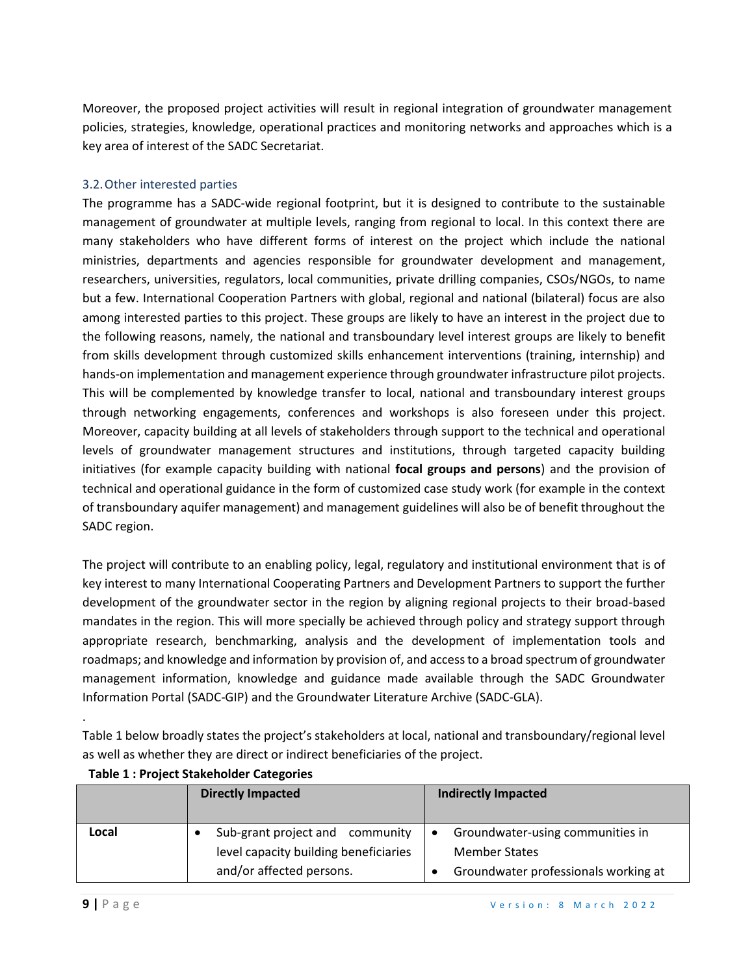Moreover, the proposed project activities will result in regional integration of groundwater management policies, strategies, knowledge, operational practices and monitoring networks and approaches which is a key area of interest of the SADC Secretariat.

#### 3.2.Other interested parties

The programme has a SADC-wide regional footprint, but it is designed to contribute to the sustainable management of groundwater at multiple levels, ranging from regional to local. In this context there are many stakeholders who have different forms of interest on the project which include the national ministries, departments and agencies responsible for groundwater development and management, researchers, universities, regulators, local communities, private drilling companies, CSOs/NGOs, to name but a few. International Cooperation Partners with global, regional and national (bilateral) focus are also among interested parties to this project. These groups are likely to have an interest in the project due to the following reasons, namely, the national and transboundary level interest groups are likely to benefit from skills development through customized skills enhancement interventions (training, internship) and hands-on implementation and management experience through groundwater infrastructure pilot projects. This will be complemented by knowledge transfer to local, national and transboundary interest groups through networking engagements, conferences and workshops is also foreseen under this project. Moreover, capacity building at all levels of stakeholders through support to the technical and operational levels of groundwater management structures and institutions, through targeted capacity building initiatives (for example capacity building with national **focal groups and persons**) and the provision of technical and operational guidance in the form of customized case study work (for example in the context of transboundary aquifer management) and management guidelines will also be of benefit throughout the SADC region.

The project will contribute to an enabling policy, legal, regulatory and institutional environment that is of key interest to many International Cooperating Partners and Development Partners to support the further development of the groundwater sector in the region by aligning regional projects to their broad-based mandates in the region. This will more specially be achieved through policy and strategy support through appropriate research, benchmarking, analysis and the development of implementation tools and roadmaps; and knowledge and information by provision of, and access to a broad spectrum of groundwater management information, knowledge and guidance made available through the SADC Groundwater Information Portal (SADC-GIP) and the Groundwater Literature Archive (SADC-GLA).

Table 1 below broadly states the project's stakeholders at local, national and transboundary/regional level as well as whether they are direct or indirect beneficiaries of the project.

|       | <b>Directly Impacted</b>                                                 | <b>Indirectly Impacted</b>                                            |
|-------|--------------------------------------------------------------------------|-----------------------------------------------------------------------|
| Local | Sub-grant project and community<br>level capacity building beneficiaries | Groundwater-using communities in<br>$\bullet$<br><b>Member States</b> |
|       | and/or affected persons.                                                 | Groundwater professionals working at                                  |

#### **Table 1 : Project Stakeholder Categories**

.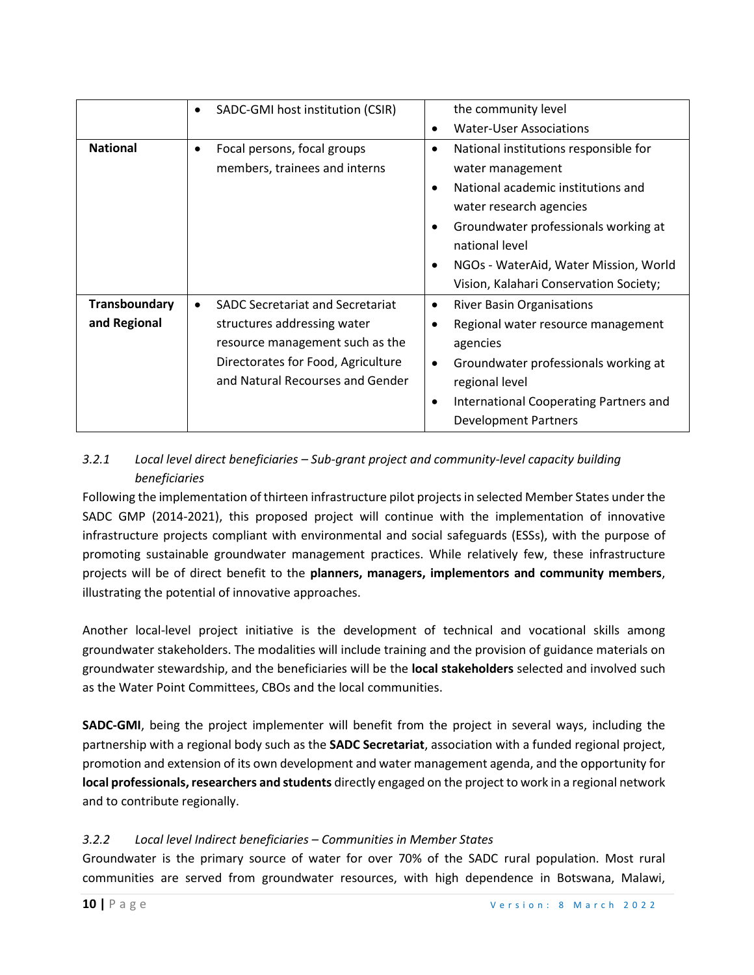|                               | SADC-GMI host institution (CSIR)<br>$\bullet$                                                                                                                                                    | the community level                                                                                                                                                                                                                                                                                 |
|-------------------------------|--------------------------------------------------------------------------------------------------------------------------------------------------------------------------------------------------|-----------------------------------------------------------------------------------------------------------------------------------------------------------------------------------------------------------------------------------------------------------------------------------------------------|
|                               |                                                                                                                                                                                                  | <b>Water-User Associations</b>                                                                                                                                                                                                                                                                      |
| <b>National</b>               | Focal persons, focal groups<br>$\bullet$<br>members, trainees and interns                                                                                                                        | National institutions responsible for<br>٠<br>water management<br>National academic institutions and<br>$\bullet$<br>water research agencies<br>Groundwater professionals working at<br>٠<br>national level<br>NGOs - WaterAid, Water Mission, World<br>٠<br>Vision, Kalahari Conservation Society; |
| Transboundary<br>and Regional | <b>SADC Secretariat and Secretariat</b><br>$\bullet$<br>structures addressing water<br>resource management such as the<br>Directorates for Food, Agriculture<br>and Natural Recourses and Gender | <b>River Basin Organisations</b><br>٠<br>Regional water resource management<br>agencies<br>Groundwater professionals working at<br>$\bullet$<br>regional level<br>International Cooperating Partners and<br>٠                                                                                       |
|                               |                                                                                                                                                                                                  | <b>Development Partners</b>                                                                                                                                                                                                                                                                         |

# *3.2.1 Local level direct beneficiaries – Sub-grant project and community-level capacity building beneficiaries*

Following the implementation of thirteen infrastructure pilot projects in selected Member States under the SADC GMP (2014-2021), this proposed project will continue with the implementation of innovative infrastructure projects compliant with environmental and social safeguards (ESSs), with the purpose of promoting sustainable groundwater management practices. While relatively few, these infrastructure projects will be of direct benefit to the **planners, managers, implementors and community members**, illustrating the potential of innovative approaches.

Another local-level project initiative is the development of technical and vocational skills among groundwater stakeholders. The modalities will include training and the provision of guidance materials on groundwater stewardship, and the beneficiaries will be the **local stakeholders** selected and involved such as the Water Point Committees, CBOs and the local communities.

**SADC-GMI**, being the project implementer will benefit from the project in several ways, including the partnership with a regional body such as the **SADC Secretariat**, association with a funded regional project, promotion and extension of its own development and water management agenda, and the opportunity for **local professionals, researchers and students** directly engaged on the project to work in a regional network and to contribute regionally.

## *3.2.2 Local level Indirect beneficiaries – Communities in Member States*

Groundwater is the primary source of water for over 70% of the SADC rural population. Most rural communities are served from groundwater resources, with high dependence in Botswana, Malawi,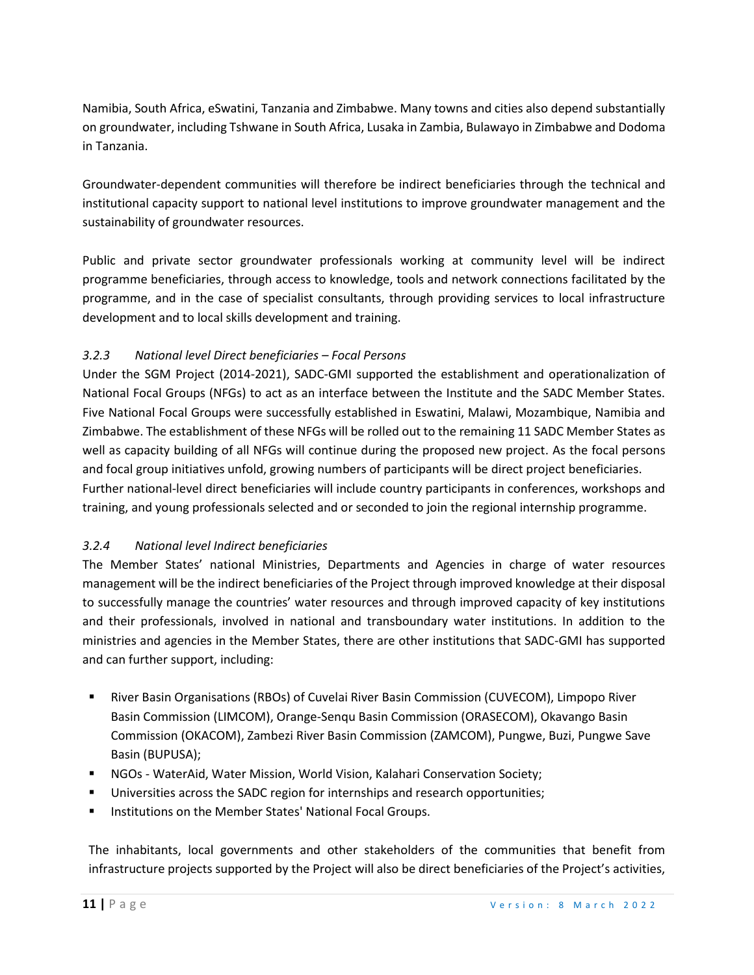Namibia, South Africa, eSwatini, Tanzania and Zimbabwe. Many towns and cities also depend substantially on groundwater, including Tshwane in South Africa, Lusaka in Zambia, Bulawayo in Zimbabwe and Dodoma in Tanzania.

Groundwater-dependent communities will therefore be indirect beneficiaries through the technical and institutional capacity support to national level institutions to improve groundwater management and the sustainability of groundwater resources.

Public and private sector groundwater professionals working at community level will be indirect programme beneficiaries, through access to knowledge, tools and network connections facilitated by the programme, and in the case of specialist consultants, through providing services to local infrastructure development and to local skills development and training.

# *3.2.3 National level Direct beneficiaries – Focal Persons*

Under the SGM Project (2014-2021), SADC-GMI supported the establishment and operationalization of National Focal Groups (NFGs) to act as an interface between the Institute and the SADC Member States. Five National Focal Groups were successfully established in Eswatini, Malawi, Mozambique, Namibia and Zimbabwe. The establishment of these NFGs will be rolled out to the remaining 11 SADC Member States as well as capacity building of all NFGs will continue during the proposed new project. As the focal persons and focal group initiatives unfold, growing numbers of participants will be direct project beneficiaries. Further national-level direct beneficiaries will include country participants in conferences, workshops and training, and young professionals selected and or seconded to join the regional internship programme.

## *3.2.4 National level Indirect beneficiaries*

The Member States' national Ministries, Departments and Agencies in charge of water resources management will be the indirect beneficiaries of the Project through improved knowledge at their disposal to successfully manage the countries' water resources and through improved capacity of key institutions and their professionals, involved in national and transboundary water institutions. In addition to the ministries and agencies in the Member States, there are other institutions that SADC-GMI has supported and can further support, including:

- River Basin Organisations (RBOs) of Cuvelai River Basin Commission (CUVECOM), Limpopo River Basin Commission (LIMCOM), Orange-Senqu Basin Commission (ORASECOM), Okavango Basin Commission (OKACOM), Zambezi River Basin Commission (ZAMCOM), Pungwe, Buzi, Pungwe Save Basin (BUPUSA);
- NGOs WaterAid, Water Mission, World Vision, Kalahari Conservation Society;
- **■** Universities across the SADC region for internships and research opportunities;
- Institutions on the Member States' National Focal Groups.

The inhabitants, local governments and other stakeholders of the communities that benefit from infrastructure projects supported by the Project will also be direct beneficiaries of the Project's activities,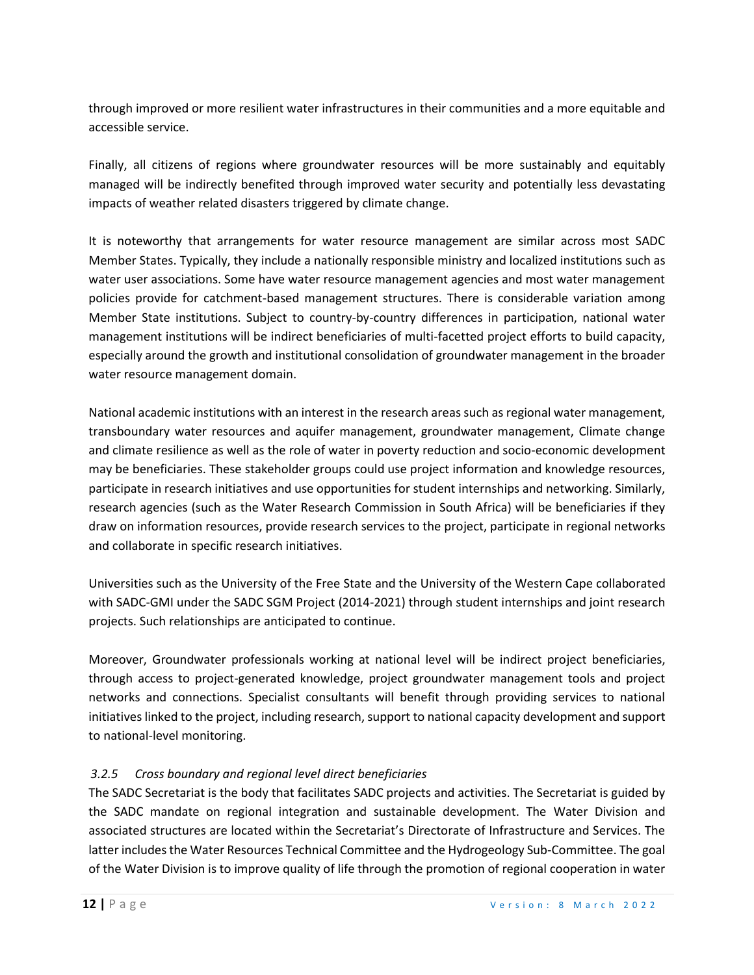through improved or more resilient water infrastructures in their communities and a more equitable and accessible service.

Finally, all citizens of regions where groundwater resources will be more sustainably and equitably managed will be indirectly benefited through improved water security and potentially less devastating impacts of weather related disasters triggered by climate change.

It is noteworthy that arrangements for water resource management are similar across most SADC Member States. Typically, they include a nationally responsible ministry and localized institutions such as water user associations. Some have water resource management agencies and most water management policies provide for catchment-based management structures. There is considerable variation among Member State institutions. Subject to country-by-country differences in participation, national water management institutions will be indirect beneficiaries of multi-facetted project efforts to build capacity, especially around the growth and institutional consolidation of groundwater management in the broader water resource management domain.

National academic institutions with an interest in the research areas such as regional water management, transboundary water resources and aquifer management, groundwater management, Climate change and climate resilience as well as the role of water in poverty reduction and socio-economic development may be beneficiaries. These stakeholder groups could use project information and knowledge resources, participate in research initiatives and use opportunities for student internships and networking. Similarly, research agencies (such as the Water Research Commission in South Africa) will be beneficiaries if they draw on information resources, provide research services to the project, participate in regional networks and collaborate in specific research initiatives.

Universities such as the University of the Free State and the University of the Western Cape collaborated with SADC-GMI under the SADC SGM Project (2014-2021) through student internships and joint research projects. Such relationships are anticipated to continue.

Moreover, Groundwater professionals working at national level will be indirect project beneficiaries, through access to project-generated knowledge, project groundwater management tools and project networks and connections. Specialist consultants will benefit through providing services to national initiatives linked to the project, including research, support to national capacity development and support to national-level monitoring.

## *3.2.5 Cross boundary and regional level direct beneficiaries*

The SADC Secretariat is the body that facilitates SADC projects and activities. The Secretariat is guided by the SADC mandate on regional integration and sustainable development. The Water Division and associated structures are located within the Secretariat's Directorate of Infrastructure and Services. The latter includes the Water Resources Technical Committee and the Hydrogeology Sub-Committee. The goal of the Water Division is to improve quality of life through the promotion of regional cooperation in water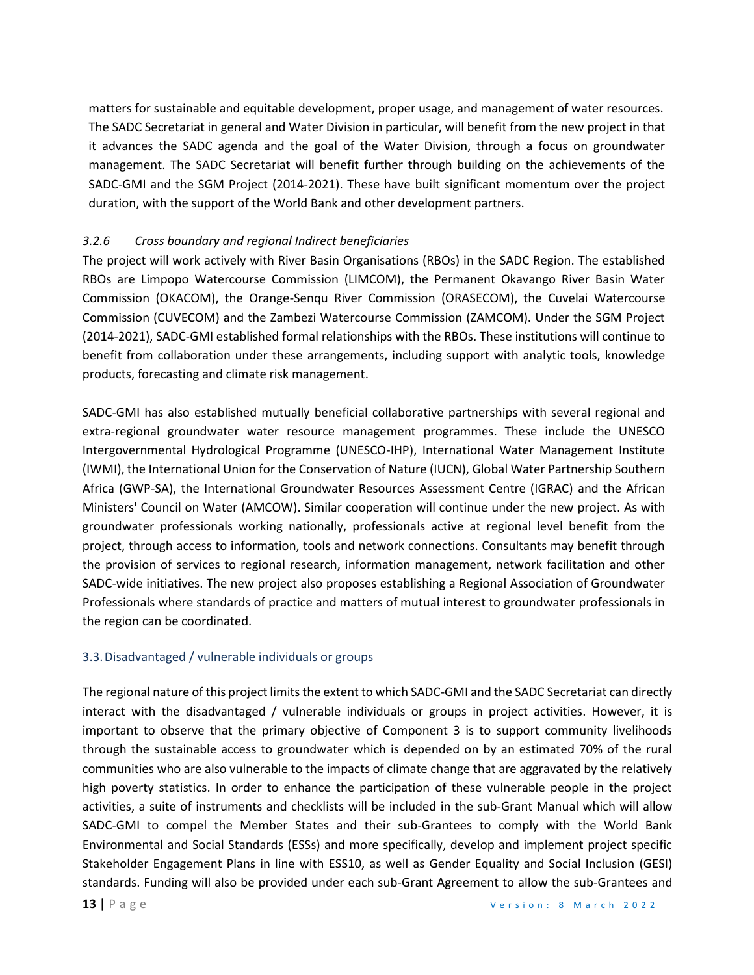matters for sustainable and equitable development, proper usage, and management of water resources. The SADC Secretariat in general and Water Division in particular, will benefit from the new project in that it advances the SADC agenda and the goal of the Water Division, through a focus on groundwater management. The SADC Secretariat will benefit further through building on the achievements of the SADC-GMI and the SGM Project (2014-2021). These have built significant momentum over the project duration, with the support of the World Bank and other development partners.

## *3.2.6 Cross boundary and regional Indirect beneficiaries*

The project will work actively with River Basin Organisations (RBOs) in the SADC Region. The established RBOs are Limpopo Watercourse Commission (LIMCOM), the Permanent Okavango River Basin Water Commission (OKACOM), the Orange-Senqu River Commission (ORASECOM), the Cuvelai Watercourse Commission (CUVECOM) and the Zambezi Watercourse Commission (ZAMCOM). Under the SGM Project (2014-2021), SADC-GMI established formal relationships with the RBOs. These institutions will continue to benefit from collaboration under these arrangements, including support with analytic tools, knowledge products, forecasting and climate risk management.

SADC-GMI has also established mutually beneficial collaborative partnerships with several regional and extra-regional groundwater water resource management programmes. These include the UNESCO Intergovernmental Hydrological Programme (UNESCO-IHP), International Water Management Institute (IWMI), the International Union for the Conservation of Nature (IUCN), Global Water Partnership Southern Africa (GWP-SA), the International Groundwater Resources Assessment Centre (IGRAC) and the African Ministers' Council on Water (AMCOW). Similar cooperation will continue under the new project. As with groundwater professionals working nationally, professionals active at regional level benefit from the project, through access to information, tools and network connections. Consultants may benefit through the provision of services to regional research, information management, network facilitation and other SADC-wide initiatives. The new project also proposes establishing a Regional Association of Groundwater Professionals where standards of practice and matters of mutual interest to groundwater professionals in the region can be coordinated.

#### 3.3.Disadvantaged / vulnerable individuals or groups

The regional nature of this project limits the extent to which SADC-GMI and the SADC Secretariat can directly interact with the disadvantaged / vulnerable individuals or groups in project activities. However, it is important to observe that the primary objective of Component 3 is to support community livelihoods through the sustainable access to groundwater which is depended on by an estimated 70% of the rural communities who are also vulnerable to the impacts of climate change that are aggravated by the relatively high poverty statistics. In order to enhance the participation of these vulnerable people in the project activities, a suite of instruments and checklists will be included in the sub-Grant Manual which will allow SADC-GMI to compel the Member States and their sub-Grantees to comply with the World Bank Environmental and Social Standards (ESSs) and more specifically, develop and implement project specific Stakeholder Engagement Plans in line with ESS10, as well as Gender Equality and Social Inclusion (GESI) standards. Funding will also be provided under each sub-Grant Agreement to allow the sub-Grantees and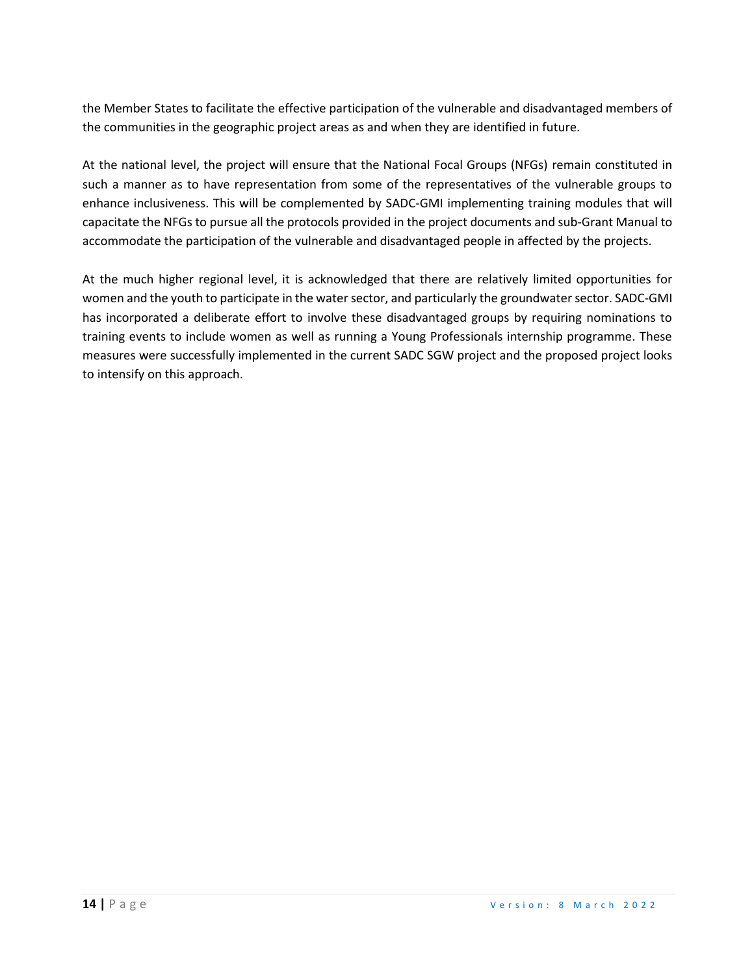the Member States to facilitate the effective participation of the vulnerable and disadvantaged members of the communities in the geographic project areas as and when they are identified in future.

At the national level, the project will ensure that the National Focal Groups (NFGs) remain constituted in such a manner as to have representation from some of the representatives of the vulnerable groups to enhance inclusiveness. This will be complemented by SADC-GMI implementing training modules that will capacitate the NFGs to pursue all the protocols provided in the project documents and sub-Grant Manual to accommodate the participation of the vulnerable and disadvantaged people in affected by the projects.

At the much higher regional level, it is acknowledged that there are relatively limited opportunities for women and the youth to participate in the water sector, and particularly the groundwater sector. SADC-GMI has incorporated a deliberate effort to involve these disadvantaged groups by requiring nominations to training events to include women as well as running a Young Professionals internship programme. These measures were successfully implemented in the current SADC SGW project and the proposed project looks to intensify on this approach.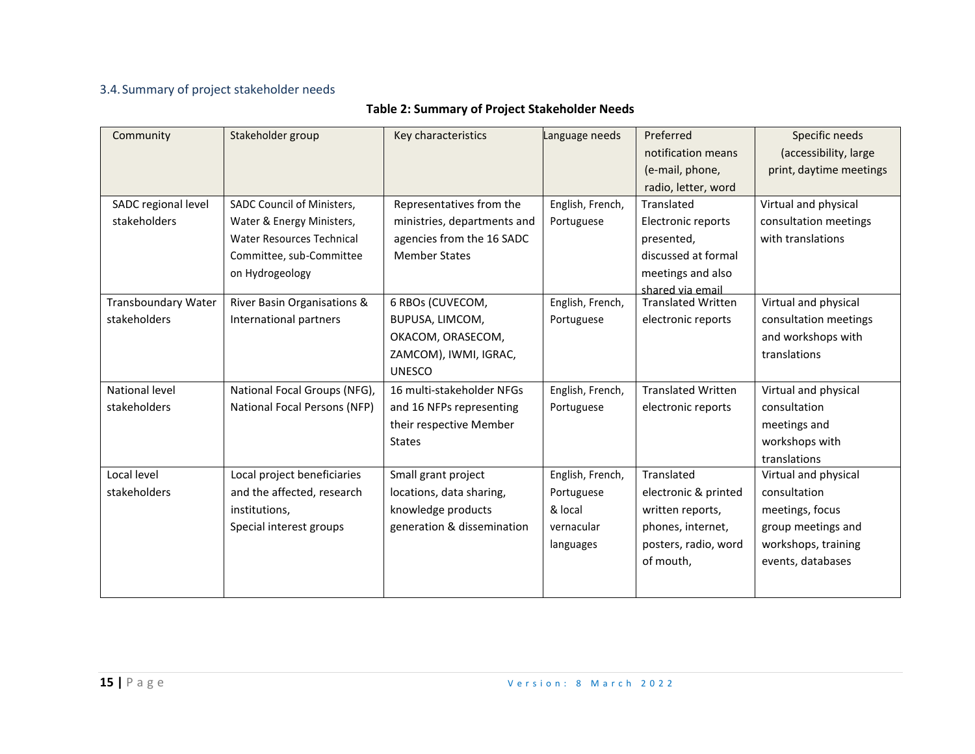# 3.4.Summary of project stakeholder needs

# **Table 2: Summary of Project Stakeholder Needs**

| Community                  | Stakeholder group                | Key characteristics         | Language needs   | Preferred                 | Specific needs          |
|----------------------------|----------------------------------|-----------------------------|------------------|---------------------------|-------------------------|
|                            |                                  |                             |                  | notification means        | (accessibility, large   |
|                            |                                  |                             |                  | (e-mail, phone,           | print, daytime meetings |
|                            |                                  |                             |                  | radio, letter, word       |                         |
| SADC regional level        | SADC Council of Ministers,       | Representatives from the    | English, French, | Translated                | Virtual and physical    |
| stakeholders               | Water & Energy Ministers,        | ministries, departments and | Portuguese       | Electronic reports        | consultation meetings   |
|                            | <b>Water Resources Technical</b> | agencies from the 16 SADC   |                  | presented,                | with translations       |
|                            | Committee, sub-Committee         | <b>Member States</b>        |                  | discussed at formal       |                         |
|                            | on Hydrogeology                  |                             |                  | meetings and also         |                         |
|                            |                                  |                             |                  | shared via email          |                         |
| <b>Transboundary Water</b> | River Basin Organisations &      | 6 RBOs (CUVECOM,            | English, French, | <b>Translated Written</b> | Virtual and physical    |
| stakeholders               | International partners           | BUPUSA, LIMCOM,             | Portuguese       | electronic reports        | consultation meetings   |
|                            |                                  | OKACOM, ORASECOM,           |                  |                           | and workshops with      |
|                            |                                  | ZAMCOM), IWMI, IGRAC,       |                  |                           | translations            |
|                            |                                  | <b>UNESCO</b>               |                  |                           |                         |
| National level             | National Focal Groups (NFG),     | 16 multi-stakeholder NFGs   | English, French, | <b>Translated Written</b> | Virtual and physical    |
| stakeholders               | National Focal Persons (NFP)     | and 16 NFPs representing    | Portuguese       | electronic reports        | consultation            |
|                            |                                  | their respective Member     |                  |                           | meetings and            |
|                            |                                  | <b>States</b>               |                  |                           | workshops with          |
|                            |                                  |                             |                  |                           | translations            |
| Local level                | Local project beneficiaries      | Small grant project         | English, French, | Translated                | Virtual and physical    |
| stakeholders               | and the affected, research       | locations, data sharing,    | Portuguese       | electronic & printed      | consultation            |
|                            | institutions,                    | knowledge products          | & local          | written reports,          | meetings, focus         |
|                            | Special interest groups          | generation & dissemination  | vernacular       | phones, internet,         | group meetings and      |
|                            |                                  |                             | languages        | posters, radio, word      | workshops, training     |
|                            |                                  |                             |                  | of mouth,                 | events, databases       |
|                            |                                  |                             |                  |                           |                         |
|                            |                                  |                             |                  |                           |                         |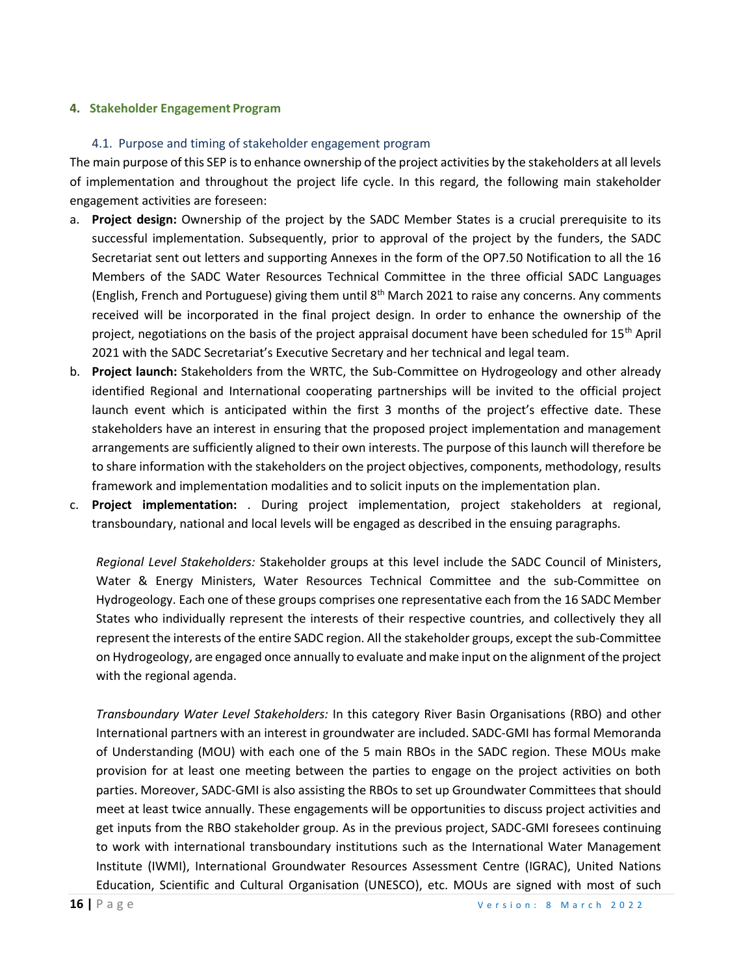#### **4. Stakeholder Engagement Program**

#### 4.1. Purpose and timing of stakeholder engagement program

The main purpose of this SEP is to enhance ownership of the project activities by the stakeholders at all levels of implementation and throughout the project life cycle. In this regard, the following main stakeholder engagement activities are foreseen:

- a. **Project design:** Ownership of the project by the SADC Member States is a crucial prerequisite to its successful implementation. Subsequently, prior to approval of the project by the funders, the SADC Secretariat sent out letters and supporting Annexes in the form of the OP7.50 Notification to all the 16 Members of the SADC Water Resources Technical Committee in the three official SADC Languages (English, French and Portuguese) giving them until 8<sup>th</sup> March 2021 to raise any concerns. Any comments received will be incorporated in the final project design. In order to enhance the ownership of the project, negotiations on the basis of the project appraisal document have been scheduled for 15th April 2021 with the SADC Secretariat's Executive Secretary and her technical and legal team.
- b. **Project launch:** Stakeholders from the WRTC, the Sub-Committee on Hydrogeology and other already identified Regional and International cooperating partnerships will be invited to the official project launch event which is anticipated within the first 3 months of the project's effective date. These stakeholders have an interest in ensuring that the proposed project implementation and management arrangements are sufficiently aligned to their own interests. The purpose of this launch will therefore be to share information with the stakeholders on the project objectives, components, methodology, results framework and implementation modalities and to solicit inputs on the implementation plan.
- c. **Project implementation:** . During project implementation, project stakeholders at regional, transboundary, national and local levels will be engaged as described in the ensuing paragraphs.

*Regional Level Stakeholders:* Stakeholder groups at this level include the SADC Council of Ministers, Water & Energy Ministers, Water Resources Technical Committee and the sub-Committee on Hydrogeology. Each one of these groups comprises one representative each from the 16 SADC Member States who individually represent the interests of their respective countries, and collectively they all represent the interests of the entire SADC region. All the stakeholder groups, except the sub-Committee on Hydrogeology, are engaged once annually to evaluate and make input on the alignment of the project with the regional agenda.

*Transboundary Water Level Stakeholders:* In this category River Basin Organisations (RBO) and other International partners with an interest in groundwater are included. SADC-GMI has formal Memoranda of Understanding (MOU) with each one of the 5 main RBOs in the SADC region. These MOUs make provision for at least one meeting between the parties to engage on the project activities on both parties. Moreover, SADC-GMI is also assisting the RBOs to set up Groundwater Committees that should meet at least twice annually. These engagements will be opportunities to discuss project activities and get inputs from the RBO stakeholder group. As in the previous project, SADC-GMI foresees continuing to work with international transboundary institutions such as the International Water Management Institute (IWMI), International Groundwater Resources Assessment Centre (IGRAC), United Nations Education, Scientific and Cultural Organisation (UNESCO), etc. MOUs are signed with most of such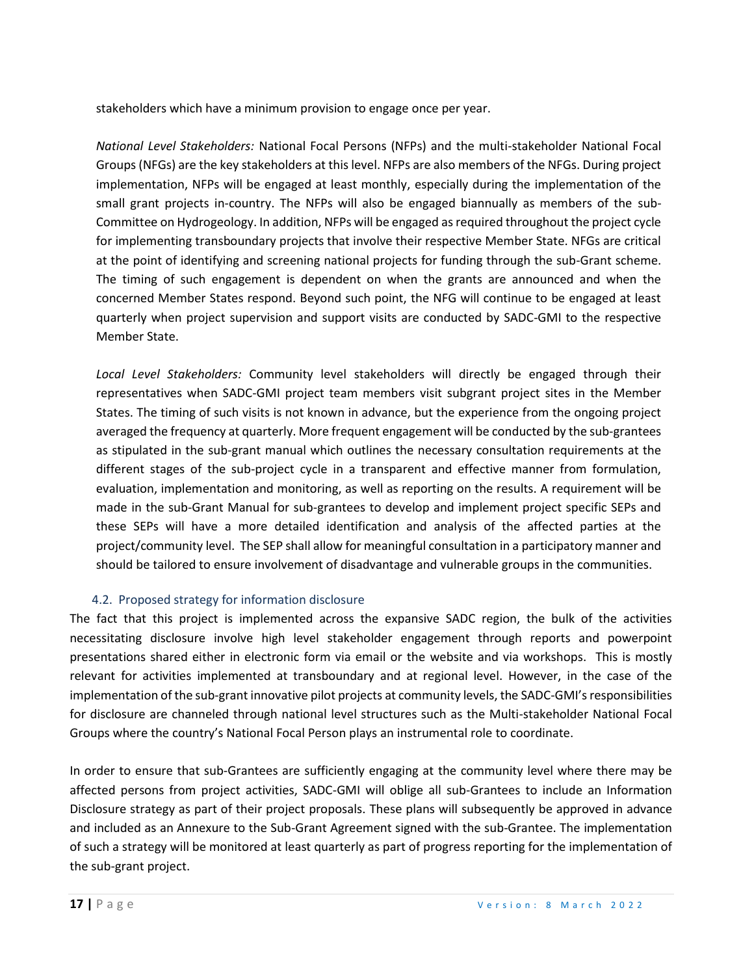stakeholders which have a minimum provision to engage once per year.

*National Level Stakeholders:* National Focal Persons (NFPs) and the multi-stakeholder National Focal Groups (NFGs) are the key stakeholders at this level. NFPs are also members of the NFGs. During project implementation, NFPs will be engaged at least monthly, especially during the implementation of the small grant projects in-country. The NFPs will also be engaged biannually as members of the sub-Committee on Hydrogeology. In addition, NFPs will be engaged as required throughout the project cycle for implementing transboundary projects that involve their respective Member State. NFGs are critical at the point of identifying and screening national projects for funding through the sub-Grant scheme. The timing of such engagement is dependent on when the grants are announced and when the concerned Member States respond. Beyond such point, the NFG will continue to be engaged at least quarterly when project supervision and support visits are conducted by SADC-GMI to the respective Member State.

*Local Level Stakeholders:* Community level stakeholders will directly be engaged through their representatives when SADC-GMI project team members visit subgrant project sites in the Member States. The timing of such visits is not known in advance, but the experience from the ongoing project averaged the frequency at quarterly. More frequent engagement will be conducted by the sub-grantees as stipulated in the sub-grant manual which outlines the necessary consultation requirements at the different stages of the sub-project cycle in a transparent and effective manner from formulation, evaluation, implementation and monitoring, as well as reporting on the results. A requirement will be made in the sub-Grant Manual for sub-grantees to develop and implement project specific SEPs and these SEPs will have a more detailed identification and analysis of the affected parties at the project/community level. The SEP shall allow for meaningful consultation in a participatory manner and should be tailored to ensure involvement of disadvantage and vulnerable groups in the communities.

#### 4.2. Proposed strategy for information disclosure

The fact that this project is implemented across the expansive SADC region, the bulk of the activities necessitating disclosure involve high level stakeholder engagement through reports and powerpoint presentations shared either in electronic form via email or the website and via workshops. This is mostly relevant for activities implemented at transboundary and at regional level. However, in the case of the implementation of the sub-grant innovative pilot projects at community levels, the SADC-GMI's responsibilities for disclosure are channeled through national level structures such as the Multi-stakeholder National Focal Groups where the country's National Focal Person plays an instrumental role to coordinate.

In order to ensure that sub-Grantees are sufficiently engaging at the community level where there may be affected persons from project activities, SADC-GMI will oblige all sub-Grantees to include an Information Disclosure strategy as part of their project proposals. These plans will subsequently be approved in advance and included as an Annexure to the Sub-Grant Agreement signed with the sub-Grantee. The implementation of such a strategy will be monitored at least quarterly as part of progress reporting for the implementation of the sub-grant project.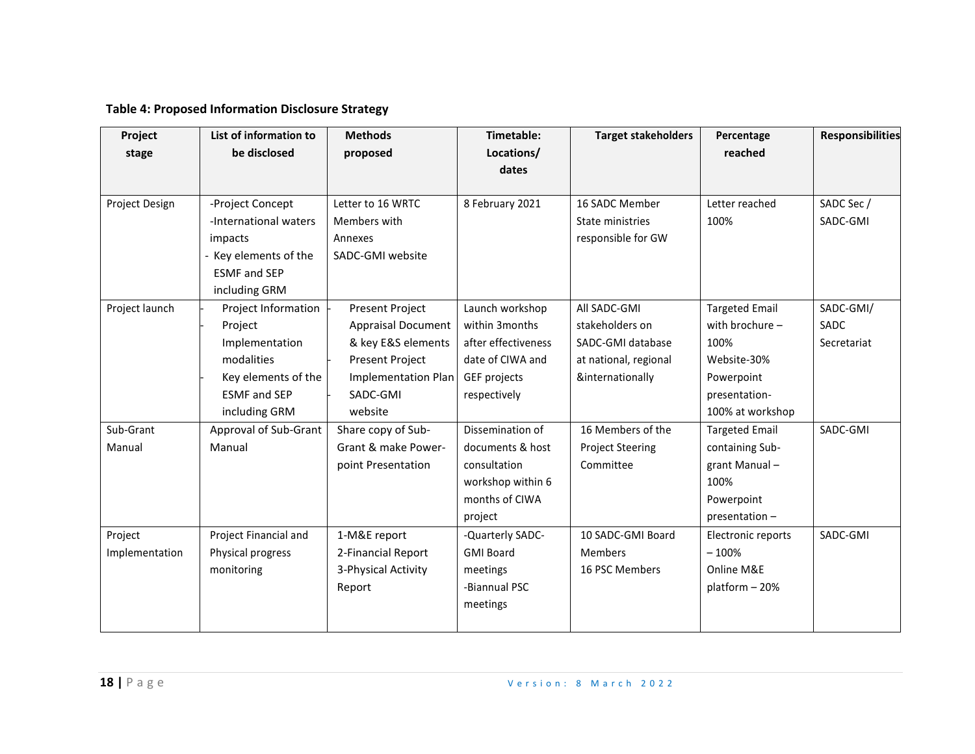# **Table 4: Proposed Information Disclosure Strategy**

| Project        | List of information to | <b>Methods</b>             | Timetable:          | <b>Target stakeholders</b> | Percentage            | <b>Responsibilities</b> |
|----------------|------------------------|----------------------------|---------------------|----------------------------|-----------------------|-------------------------|
| stage          | be disclosed           | proposed                   | Locations/          |                            | reached               |                         |
|                |                        |                            | dates               |                            |                       |                         |
|                |                        |                            |                     |                            |                       |                         |
| Project Design | -Project Concept       | Letter to 16 WRTC          | 8 February 2021     | 16 SADC Member             | Letter reached        | SADC Sec /              |
|                | -International waters  | Members with               |                     | State ministries           | 100%                  | SADC-GMI                |
|                | impacts                | Annexes                    |                     | responsible for GW         |                       |                         |
|                | Key elements of the    | SADC-GMI website           |                     |                            |                       |                         |
|                | <b>ESMF</b> and SEP    |                            |                     |                            |                       |                         |
|                | including GRM          |                            |                     |                            |                       |                         |
| Project launch | Project Information    | <b>Present Project</b>     | Launch workshop     | All SADC-GMI               | <b>Targeted Email</b> | SADC-GMI/               |
|                | Project                | <b>Appraisal Document</b>  | within 3months      | stakeholders on            | with brochure -       | SADC                    |
|                | Implementation         | & key E&S elements         | after effectiveness | SADC-GMI database          | 100%                  | Secretariat             |
|                | modalities             | Present Project            | date of CIWA and    | at national, regional      | Website-30%           |                         |
|                | Key elements of the    | <b>Implementation Plan</b> | GEF projects        | &internationally           | Powerpoint            |                         |
|                | <b>ESMF</b> and SEP    | SADC-GMI                   | respectively        |                            | presentation-         |                         |
|                | including GRM          | website                    |                     |                            | 100% at workshop      |                         |
| Sub-Grant      | Approval of Sub-Grant  | Share copy of Sub-         | Dissemination of    | 16 Members of the          | <b>Targeted Email</b> | SADC-GMI                |
| Manual         | Manual                 | Grant & make Power-        | documents & host    | <b>Project Steering</b>    | containing Sub-       |                         |
|                |                        | point Presentation         | consultation        | Committee                  | grant Manual-         |                         |
|                |                        |                            | workshop within 6   |                            | 100%                  |                         |
|                |                        |                            | months of CIWA      |                            | Powerpoint            |                         |
|                |                        |                            | project             |                            | presentation -        |                         |
| Project        | Project Financial and  | 1-M&E report               | -Quarterly SADC-    | 10 SADC-GMI Board          | Electronic reports    | SADC-GMI                |
| Implementation | Physical progress      | 2-Financial Report         | <b>GMI Board</b>    | <b>Members</b>             | $-100%$               |                         |
|                | monitoring             | 3-Physical Activity        | meetings            | 16 PSC Members             | Online M&E            |                         |
|                |                        | Report                     | -Biannual PSC       |                            | platform - 20%        |                         |
|                |                        |                            | meetings            |                            |                       |                         |
|                |                        |                            |                     |                            |                       |                         |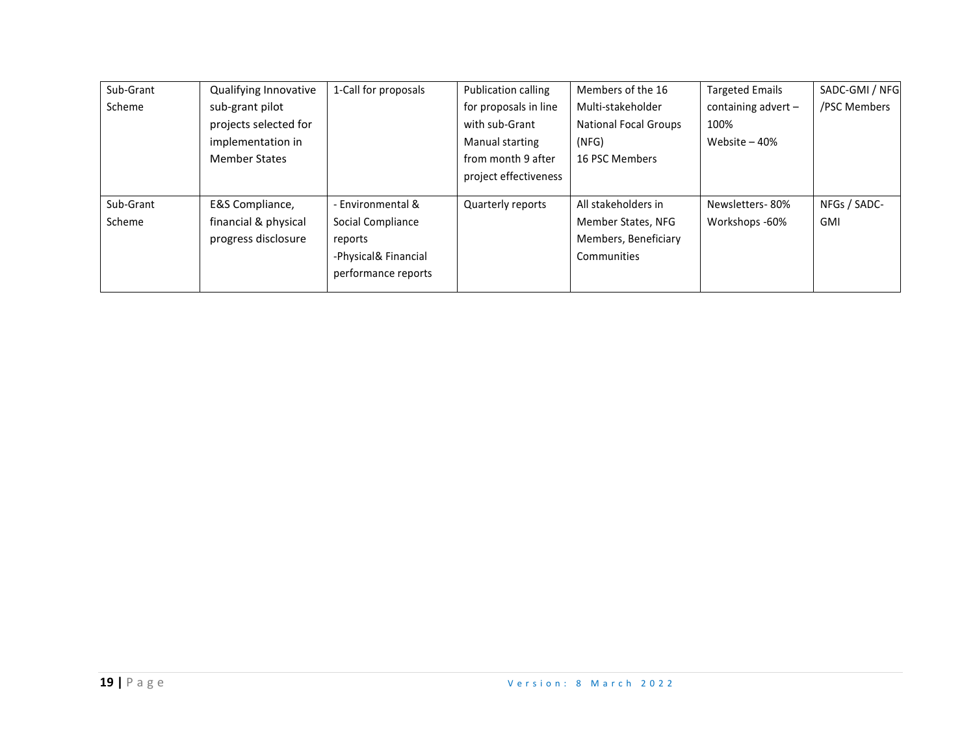| Sub-Grant | Qualifying Innovative | 1-Call for proposals | Publication calling   | Members of the 16            | <b>Targeted Emails</b> | SADC-GMI / NFG |
|-----------|-----------------------|----------------------|-----------------------|------------------------------|------------------------|----------------|
| Scheme    | sub-grant pilot       |                      | for proposals in line | Multi-stakeholder            | containing advert $-$  | /PSC Members   |
|           | projects selected for |                      | with sub-Grant        | <b>National Focal Groups</b> | 100%                   |                |
|           | implementation in     |                      | Manual starting       | (NFG)                        | Website $-40%$         |                |
|           | <b>Member States</b>  |                      | from month 9 after    | 16 PSC Members               |                        |                |
|           |                       |                      | project effectiveness |                              |                        |                |
|           |                       |                      |                       |                              |                        |                |
| Sub-Grant | E&S Compliance,       | - Environmental &    | Quarterly reports     | All stakeholders in          | Newsletters-80%        | NFGs / SADC-   |
| Scheme    | financial & physical  | Social Compliance    |                       | Member States, NFG           | Workshops -60%         | <b>GMI</b>     |
|           | progress disclosure   | reports              |                       | Members, Beneficiary         |                        |                |
|           |                       | -Physical& Financial |                       | Communities                  |                        |                |
|           |                       | performance reports  |                       |                              |                        |                |
|           |                       |                      |                       |                              |                        |                |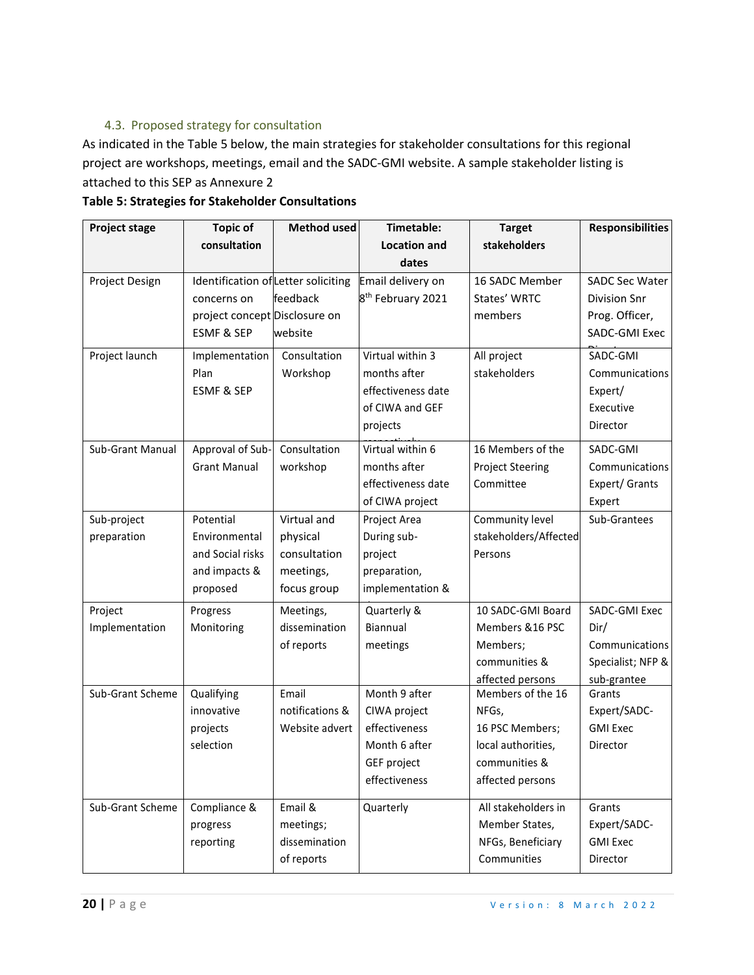# 4.3. Proposed strategy for consultation

As indicated in the Table 5 below, the main strategies for stakeholder consultations for this regional project are workshops, meetings, email and the SADC-GMI website. A sample stakeholder listing is attached to this SEP as Annexure 2

| <b>Project stage</b> | <b>Topic of</b>                     | <b>Method used</b> | Timetable:                    | <b>Target</b>           | <b>Responsibilities</b> |
|----------------------|-------------------------------------|--------------------|-------------------------------|-------------------------|-------------------------|
|                      | consultation                        |                    | <b>Location and</b>           | stakeholders            |                         |
|                      |                                     |                    | dates                         |                         |                         |
| Project Design       | Identification of Letter soliciting |                    | Email delivery on             | 16 SADC Member          | <b>SADC Sec Water</b>   |
|                      | concerns on                         | feedback           | 8 <sup>th</sup> February 2021 | States' WRTC            | Division Snr            |
|                      | project concept Disclosure on       |                    |                               | members                 | Prog. Officer,          |
|                      | <b>ESMF &amp; SEP</b>               | website            |                               |                         | <b>SADC-GMI Exec</b>    |
| Project launch       | Implementation                      | Consultation       | Virtual within 3              | All project             | SADC-GMI                |
|                      | Plan                                | Workshop           | months after                  | stakeholders            | Communications          |
|                      | <b>ESMF &amp; SEP</b>               |                    | effectiveness date            |                         | Expert/                 |
|                      |                                     |                    | of CIWA and GEF               |                         | Executive               |
|                      |                                     |                    | projects                      |                         | Director                |
| Sub-Grant Manual     | Approval of Sub-                    | Consultation       | Virtual within 6              | 16 Members of the       | SADC-GMI                |
|                      | <b>Grant Manual</b>                 | workshop           | months after                  | <b>Project Steering</b> | Communications          |
|                      |                                     |                    | effectiveness date            | Committee               | Expert/ Grants          |
|                      |                                     |                    | of CIWA project               |                         | Expert                  |
| Sub-project          | Potential                           | Virtual and        | Project Area                  | Community level         | Sub-Grantees            |
| preparation          | Environmental                       | physical           | During sub-                   | stakeholders/Affected   |                         |
|                      | and Social risks                    | consultation       | project                       | Persons                 |                         |
|                      | and impacts &                       | meetings,          | preparation,                  |                         |                         |
|                      | proposed                            | focus group        | implementation &              |                         |                         |
| Project              | Progress                            | Meetings,          | Quarterly &                   | 10 SADC-GMI Board       | SADC-GMI Exec           |
| Implementation       | Monitoring                          | dissemination      | Biannual                      | Members &16 PSC         | Dir/                    |
|                      |                                     | of reports         | meetings                      | Members;                | Communications          |
|                      |                                     |                    |                               | communities &           | Specialist; NFP &       |
|                      |                                     |                    |                               | affected persons        | sub-grantee             |
| Sub-Grant Scheme     | Qualifying                          | Email              | Month 9 after                 | Members of the 16       | Grants                  |
|                      | innovative                          | notifications &    | CIWA project                  | NFGs,                   | Expert/SADC-            |
|                      | projects                            | Website advert     | effectiveness                 | 16 PSC Members;         | <b>GMI Exec</b>         |
|                      | selection                           |                    | Month 6 after                 | local authorities,      | Director                |
|                      |                                     |                    | GEF project                   | communities &           |                         |
|                      |                                     |                    | effectiveness                 | affected persons        |                         |
| Sub-Grant Scheme     | Compliance &                        | Email &            | Quarterly                     | All stakeholders in     | Grants                  |
|                      | progress                            | meetings;          |                               | Member States,          | Expert/SADC-            |
|                      | reporting                           | dissemination      |                               | NFGs, Beneficiary       | <b>GMI Exec</b>         |
|                      |                                     | of reports         |                               | Communities             | Director                |

#### **Table 5: Strategies for Stakeholder Consultations**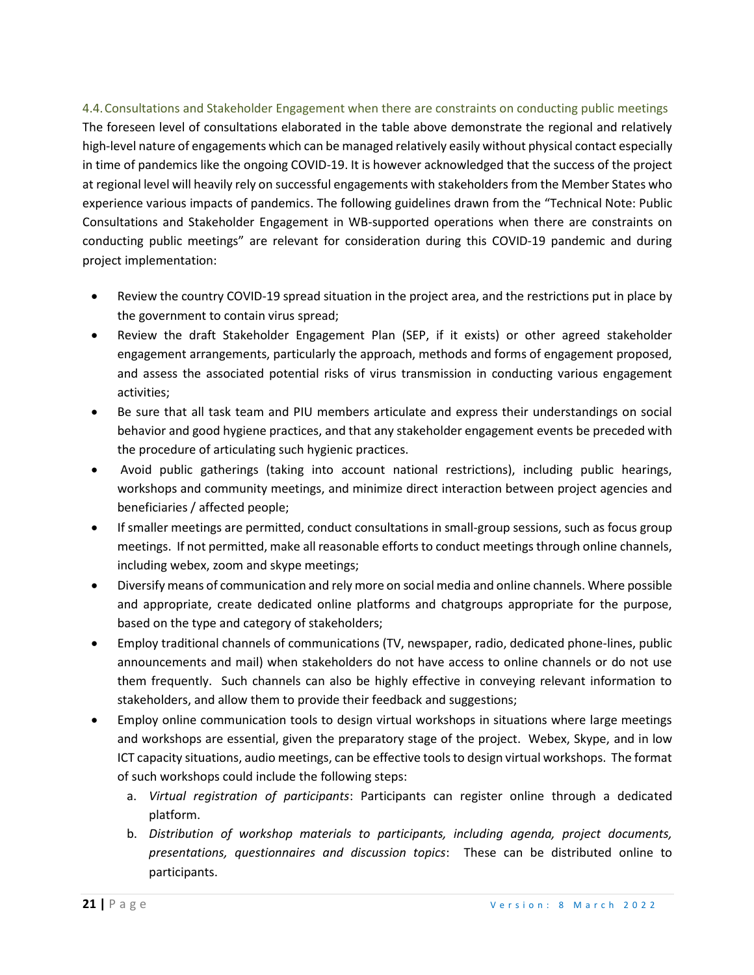# 4.4.Consultations and Stakeholder Engagement when there are constraints on conducting public meetings The foreseen level of consultations elaborated in the table above demonstrate the regional and relatively high-level nature of engagements which can be managed relatively easily without physical contact especially in time of pandemics like the ongoing COVID-19. It is however acknowledged that the success of the project at regional level will heavily rely on successful engagements with stakeholders from the Member States who experience various impacts of pandemics. The following guidelines drawn from the "Technical Note: Public Consultations and Stakeholder Engagement in WB-supported operations when there are constraints on conducting public meetings" are relevant for consideration during this COVID-19 pandemic and during project implementation:

- Review the country COVID-19 spread situation in the project area, and the restrictions put in place by the government to contain virus spread;
- Review the draft Stakeholder Engagement Plan (SEP, if it exists) or other agreed stakeholder engagement arrangements, particularly the approach, methods and forms of engagement proposed, and assess the associated potential risks of virus transmission in conducting various engagement activities;
- Be sure that all task team and PIU members articulate and express their understandings on social behavior and good hygiene practices, and that any stakeholder engagement events be preceded with the procedure of articulating such hygienic practices.
- Avoid public gatherings (taking into account national restrictions), including public hearings, workshops and community meetings, and minimize direct interaction between project agencies and beneficiaries / affected people;
- If smaller meetings are permitted, conduct consultations in small-group sessions, such as focus group meetings. If not permitted, make all reasonable efforts to conduct meetings through online channels, including webex, zoom and skype meetings;
- Diversify means of communication and rely more on social media and online channels. Where possible and appropriate, create dedicated online platforms and chatgroups appropriate for the purpose, based on the type and category of stakeholders;
- Employ traditional channels of communications (TV, newspaper, radio, dedicated phone-lines, public announcements and mail) when stakeholders do not have access to online channels or do not use them frequently. Such channels can also be highly effective in conveying relevant information to stakeholders, and allow them to provide their feedback and suggestions;
- Employ online communication tools to design virtual workshops in situations where large meetings and workshops are essential, given the preparatory stage of the project. Webex, Skype, and in low ICT capacity situations, audio meetings, can be effective tools to design virtual workshops. The format of such workshops could include the following steps:
	- a. *Virtual registration of participants*: Participants can register online through a dedicated platform.
	- b. *Distribution of workshop materials to participants, including agenda, project documents, presentations, questionnaires and discussion topics*: These can be distributed online to participants.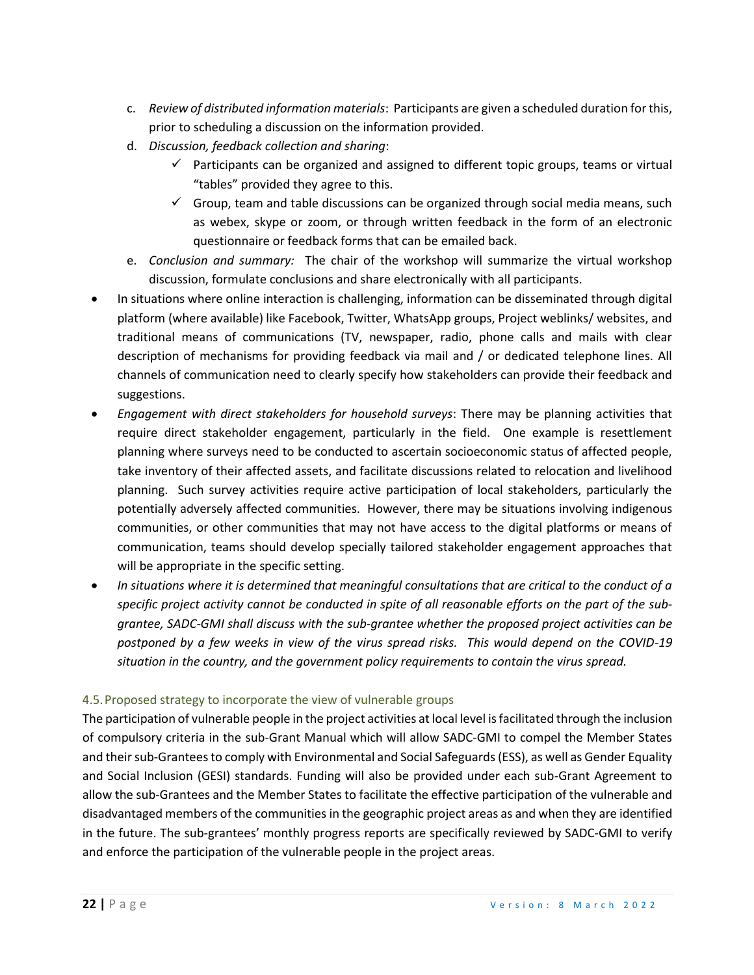- c. *Review of distributed information materials*: Participants are given a scheduled duration for this, prior to scheduling a discussion on the information provided.
- d. *Discussion, feedback collection and sharing*:
	- $\checkmark$  Participants can be organized and assigned to different topic groups, teams or virtual "tables" provided they agree to this.
	- $\checkmark$  Group, team and table discussions can be organized through social media means, such as webex, skype or zoom, or through written feedback in the form of an electronic questionnaire or feedback forms that can be emailed back.
- e. *Conclusion and summary:* The chair of the workshop will summarize the virtual workshop discussion, formulate conclusions and share electronically with all participants.
- In situations where online interaction is challenging, information can be disseminated through digital platform (where available) like Facebook, Twitter, WhatsApp groups, Project weblinks/ websites, and traditional means of communications (TV, newspaper, radio, phone calls and mails with clear description of mechanisms for providing feedback via mail and / or dedicated telephone lines. All channels of communication need to clearly specify how stakeholders can provide their feedback and suggestions.
- *Engagement with direct stakeholders for household surveys*: There may be planning activities that require direct stakeholder engagement, particularly in the field. One example is resettlement planning where surveys need to be conducted to ascertain socioeconomic status of affected people, take inventory of their affected assets, and facilitate discussions related to relocation and livelihood planning. Such survey activities require active participation of local stakeholders, particularly the potentially adversely affected communities. However, there may be situations involving indigenous communities, or other communities that may not have access to the digital platforms or means of communication, teams should develop specially tailored stakeholder engagement approaches that will be appropriate in the specific setting.
- *In situations where it is determined that meaningful consultations that are critical to the conduct of a specific project activity cannot be conducted in spite of all reasonable efforts on the part of the subgrantee, SADC-GMI shall discuss with the sub-grantee whether the proposed project activities can be postponed by a few weeks in view of the virus spread risks. This would depend on the COVID-19 situation in the country, and the government policy requirements to contain the virus spread.*

## 4.5.Proposed strategy to incorporate the view of vulnerable groups

The participation of vulnerable people in the project activities at local level is facilitated through the inclusion of compulsory criteria in the sub-Grant Manual which will allow SADC-GMI to compel the Member States and their sub-Grantees to comply with Environmental and Social Safeguards (ESS), as well as Gender Equality and Social Inclusion (GESI) standards. Funding will also be provided under each sub-Grant Agreement to allow the sub-Grantees and the Member States to facilitate the effective participation of the vulnerable and disadvantaged members of the communities in the geographic project areas as and when they are identified in the future. The sub-grantees' monthly progress reports are specifically reviewed by SADC-GMI to verify and enforce the participation of the vulnerable people in the project areas.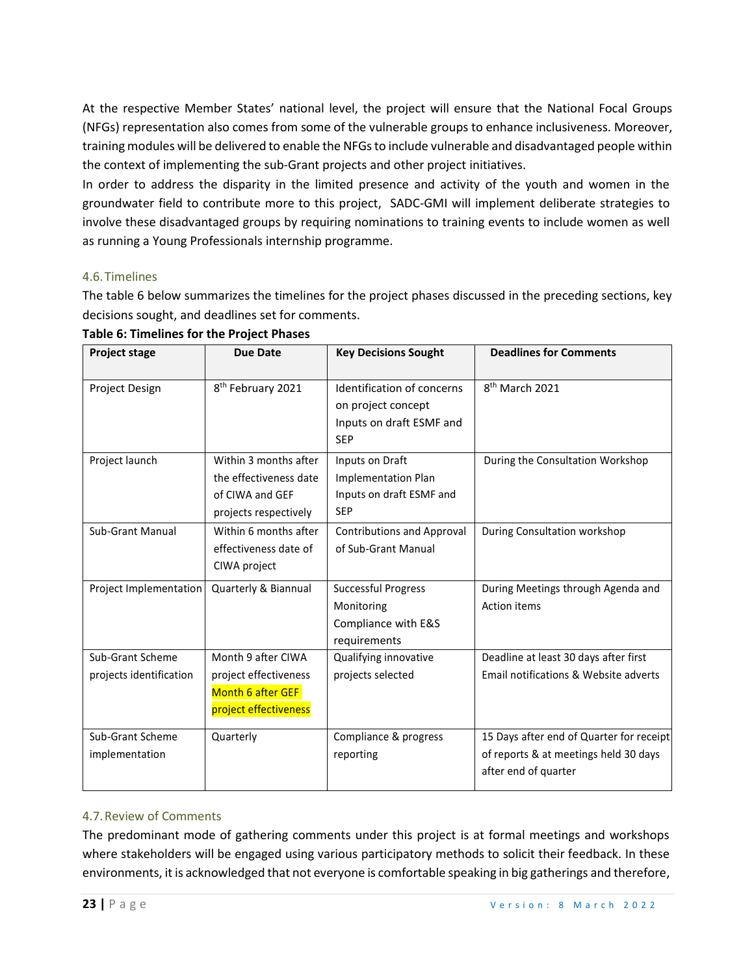At the respective Member States' national level, the project will ensure that the National Focal Groups (NFGs) representation also comes from some of the vulnerable groups to enhance inclusiveness. Moreover, training modules will be delivered to enable the NFGs to include vulnerable and disadvantaged people within the context of implementing the sub-Grant projects and other project initiatives.

In order to address the disparity in the limited presence and activity of the youth and women in the groundwater field to contribute more to this project, SADC-GMI will implement deliberate strategies to involve these disadvantaged groups by requiring nominations to training events to include women as well as running a Young Professionals internship programme.

#### 4.6.Timelines

The table 6 below summarizes the timelines for the project phases discussed in the preceding sections, key decisions sought, and deadlines set for comments.

| <b>Project stage</b>                        | <b>Due Date</b>                                                                             | <b>Key Decisions Sought</b>                                                                | <b>Deadlines for Comments</b>                                                                             |
|---------------------------------------------|---------------------------------------------------------------------------------------------|--------------------------------------------------------------------------------------------|-----------------------------------------------------------------------------------------------------------|
| Project Design                              | 8 <sup>th</sup> February 2021                                                               | Identification of concerns<br>on project concept<br>Inputs on draft ESMF and<br><b>SEP</b> | 8 <sup>th</sup> March 2021                                                                                |
| Project launch                              | Within 3 months after<br>the effectiveness date<br>of CIWA and GEF<br>projects respectively | Inputs on Draft<br><b>Implementation Plan</b><br>Inputs on draft ESMF and<br><b>SEP</b>    | During the Consultation Workshop                                                                          |
| <b>Sub-Grant Manual</b>                     | Within 6 months after<br>effectiveness date of<br>CIWA project                              | <b>Contributions and Approval</b><br>of Sub-Grant Manual                                   | During Consultation workshop                                                                              |
| Project Implementation                      | Quarterly & Biannual                                                                        | Successful Progress<br>Monitoring<br>Compliance with E&S<br>requirements                   | During Meetings through Agenda and<br>Action items                                                        |
| Sub-Grant Scheme<br>projects identification | Month 9 after CIWA<br>project effectiveness<br>Month 6 after GEF<br>project effectiveness   | Qualifying innovative<br>projects selected                                                 | Deadline at least 30 days after first<br>Email notifications & Website adverts                            |
| Sub-Grant Scheme<br>implementation          | Quarterly                                                                                   | Compliance & progress<br>reporting                                                         | 15 Days after end of Quarter for receipt<br>of reports & at meetings held 30 days<br>after end of quarter |

#### **Table 6: Timelines for the Project Phases**

## 4.7.Review of Comments

The predominant mode of gathering comments under this project is at formal meetings and workshops where stakeholders will be engaged using various participatory methods to solicit their feedback. In these environments, it is acknowledged that not everyone is comfortable speaking in big gatherings and therefore,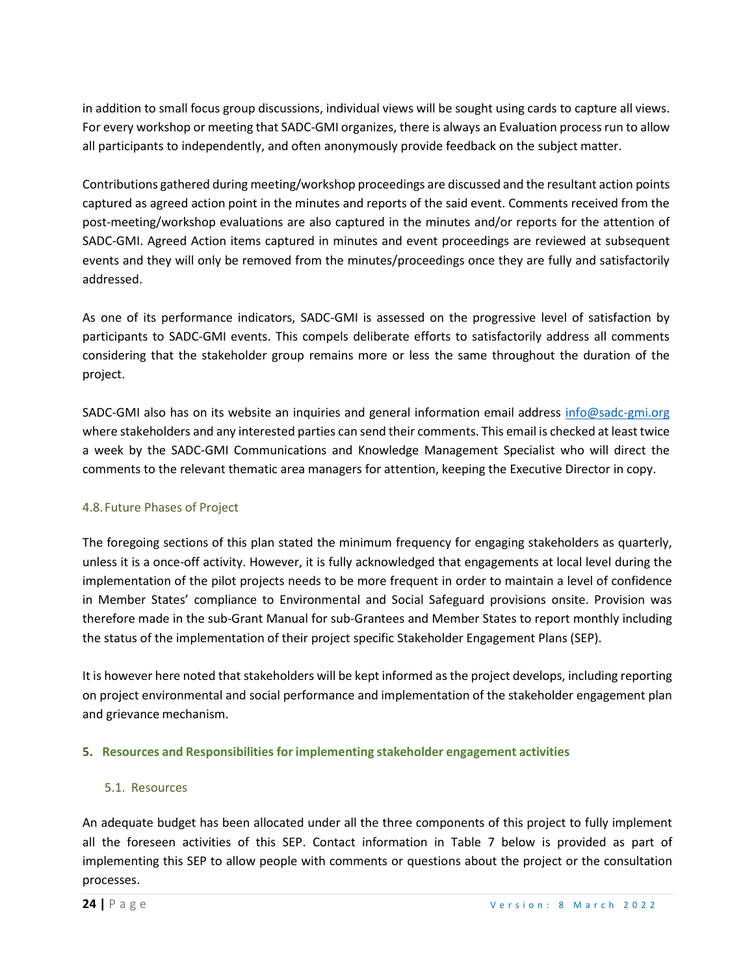in addition to small focus group discussions, individual views will be sought using cards to capture all views. For every workshop or meeting that SADC-GMI organizes, there is always an Evaluation process run to allow all participants to independently, and often anonymously provide feedback on the subject matter.

Contributions gathered during meeting/workshop proceedings are discussed and the resultant action points captured as agreed action point in the minutes and reports of the said event. Comments received from the post-meeting/workshop evaluations are also captured in the minutes and/or reports for the attention of SADC-GMI. Agreed Action items captured in minutes and event proceedings are reviewed at subsequent events and they will only be removed from the minutes/proceedings once they are fully and satisfactorily addressed.

As one of its performance indicators, SADC-GMI is assessed on the progressive level of satisfaction by participants to SADC-GMI events. This compels deliberate efforts to satisfactorily address all comments considering that the stakeholder group remains more or less the same throughout the duration of the project.

SADC-GMI also has on its website an inquiries and general information email address [info@sadc-gmi.org](about:blank) where stakeholders and any interested parties can send their comments. This email is checked at least twice a week by the SADC-GMI Communications and Knowledge Management Specialist who will direct the comments to the relevant thematic area managers for attention, keeping the Executive Director in copy.

## 4.8.Future Phases of Project

The foregoing sections of this plan stated the minimum frequency for engaging stakeholders as quarterly, unless it is a once-off activity. However, it is fully acknowledged that engagements at local level during the implementation of the pilot projects needs to be more frequent in order to maintain a level of confidence in Member States' compliance to Environmental and Social Safeguard provisions onsite. Provision was therefore made in the sub-Grant Manual for sub-Grantees and Member States to report monthly including the status of the implementation of their project specific Stakeholder Engagement Plans (SEP).

It is however here noted that stakeholders will be kept informed as the project develops, including reporting on project environmental and social performance and implementation of the stakeholder engagement plan and grievance mechanism.

## **5. Resources and Responsibilities for implementing stakeholder engagement activities**

#### 5.1. Resources

An adequate budget has been allocated under all the three components of this project to fully implement all the foreseen activities of this SEP. Contact information in Table 7 below is provided as part of implementing this SEP to allow people with comments or questions about the project or the consultation processes.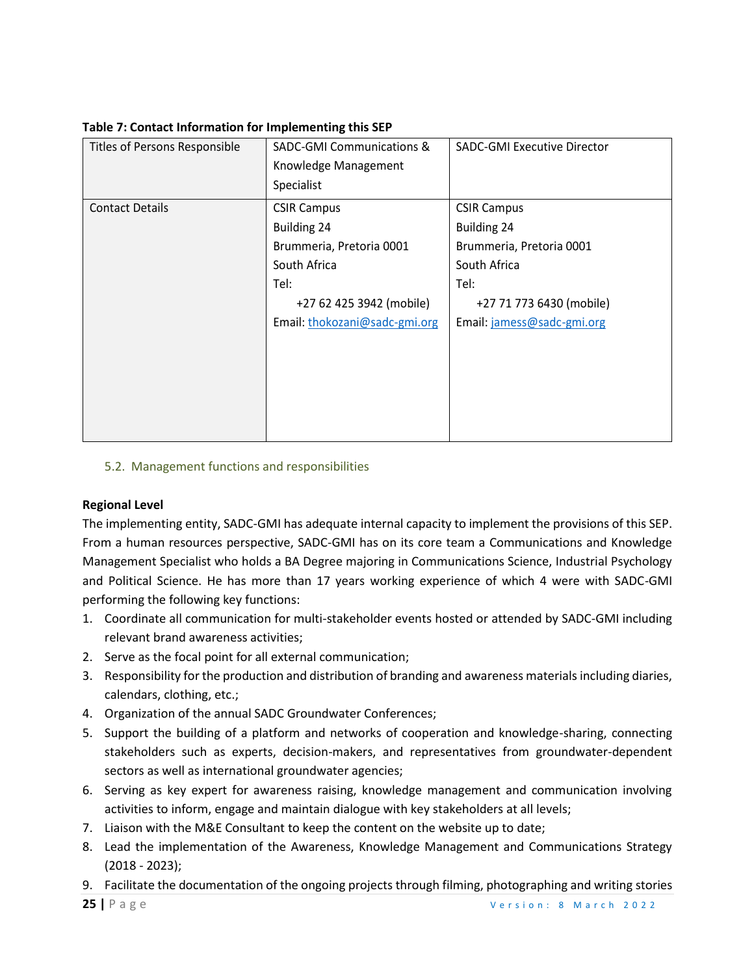| Titles of Persons Responsible | <b>SADC-GMI Communications &amp;</b> | <b>SADC-GMI Executive Director</b> |
|-------------------------------|--------------------------------------|------------------------------------|
|                               | Knowledge Management                 |                                    |
|                               | Specialist                           |                                    |
| <b>Contact Details</b>        | <b>CSIR Campus</b>                   | <b>CSIR Campus</b>                 |
|                               | <b>Building 24</b>                   | Building 24                        |
|                               | Brummeria, Pretoria 0001             | Brummeria, Pretoria 0001           |
|                               | South Africa                         | South Africa                       |
|                               | Tel:                                 | Tel:                               |
|                               | +27 62 425 3942 (mobile)             | +27 71 773 6430 (mobile)           |
|                               | Email: thokozani@sadc-gmi.org        | Email: jamess@sadc-gmi.org         |
|                               |                                      |                                    |
|                               |                                      |                                    |
|                               |                                      |                                    |
|                               |                                      |                                    |
|                               |                                      |                                    |
|                               |                                      |                                    |

**Table 7: Contact Information for Implementing this SEP**

#### 5.2. Management functions and responsibilities

#### **Regional Level**

The implementing entity, SADC-GMI has adequate internal capacity to implement the provisions of this SEP. From a human resources perspective, SADC-GMI has on its core team a Communications and Knowledge Management Specialist who holds a BA Degree majoring in Communications Science, Industrial Psychology and Political Science. He has more than 17 years working experience of which 4 were with SADC-GMI performing the following key functions:

- 1. Coordinate all communication for multi-stakeholder events hosted or attended by SADC-GMI including relevant brand awareness activities;
- 2. Serve as the focal point for all external communication;
- 3. Responsibility for the production and distribution of branding and awareness materials including diaries, calendars, clothing, etc.;
- 4. Organization of the annual SADC Groundwater Conferences;
- 5. Support the building of a platform and networks of cooperation and knowledge-sharing, connecting stakeholders such as experts, decision-makers, and representatives from groundwater-dependent sectors as well as international groundwater agencies;
- 6. Serving as key expert for awareness raising, knowledge management and communication involving activities to inform, engage and maintain dialogue with key stakeholders at all levels;
- 7. Liaison with the M&E Consultant to keep the content on the website up to date;
- 8. Lead the implementation of the Awareness, Knowledge Management and Communications Strategy (2018 - 2023);
- 9. Facilitate the documentation of the ongoing projects through filming, photographing and writing stories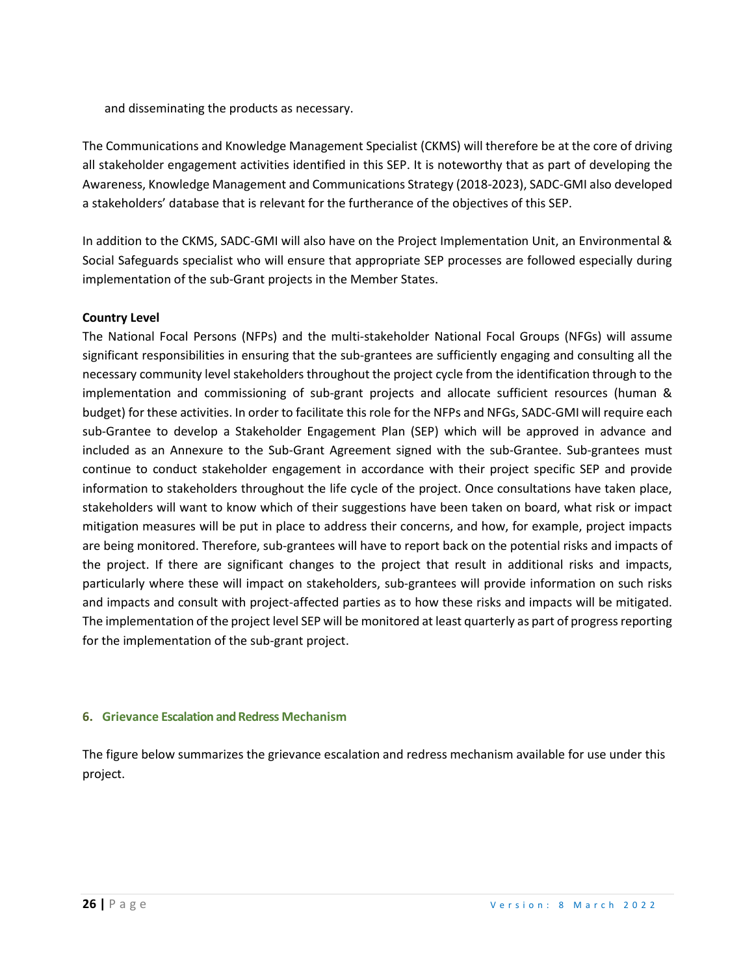and disseminating the products as necessary.

The Communications and Knowledge Management Specialist (CKMS) will therefore be at the core of driving all stakeholder engagement activities identified in this SEP. It is noteworthy that as part of developing the Awareness, Knowledge Management and Communications Strategy (2018-2023), SADC-GMI also developed a stakeholders' database that is relevant for the furtherance of the objectives of this SEP.

In addition to the CKMS, SADC-GMI will also have on the Project Implementation Unit, an Environmental & Social Safeguards specialist who will ensure that appropriate SEP processes are followed especially during implementation of the sub-Grant projects in the Member States.

#### **Country Level**

The National Focal Persons (NFPs) and the multi-stakeholder National Focal Groups (NFGs) will assume significant responsibilities in ensuring that the sub-grantees are sufficiently engaging and consulting all the necessary community level stakeholders throughout the project cycle from the identification through to the implementation and commissioning of sub-grant projects and allocate sufficient resources (human & budget) for these activities. In order to facilitate this role for the NFPs and NFGs, SADC-GMI will require each sub-Grantee to develop a Stakeholder Engagement Plan (SEP) which will be approved in advance and included as an Annexure to the Sub-Grant Agreement signed with the sub-Grantee. Sub-grantees must continue to conduct stakeholder engagement in accordance with their project specific SEP and provide information to stakeholders throughout the life cycle of the project. Once consultations have taken place, stakeholders will want to know which of their suggestions have been taken on board, what risk or impact mitigation measures will be put in place to address their concerns, and how, for example, project impacts are being monitored. Therefore, sub-grantees will have to report back on the potential risks and impacts of the project. If there are significant changes to the project that result in additional risks and impacts, particularly where these will impact on stakeholders, sub-grantees will provide information on such risks and impacts and consult with project-affected parties as to how these risks and impacts will be mitigated. The implementation of the project level SEP will be monitored at least quarterly as part of progress reporting for the implementation of the sub-grant project.

#### **6. Grievance Escalation and Redress Mechanism**

The figure below summarizes the grievance escalation and redress mechanism available for use under this project.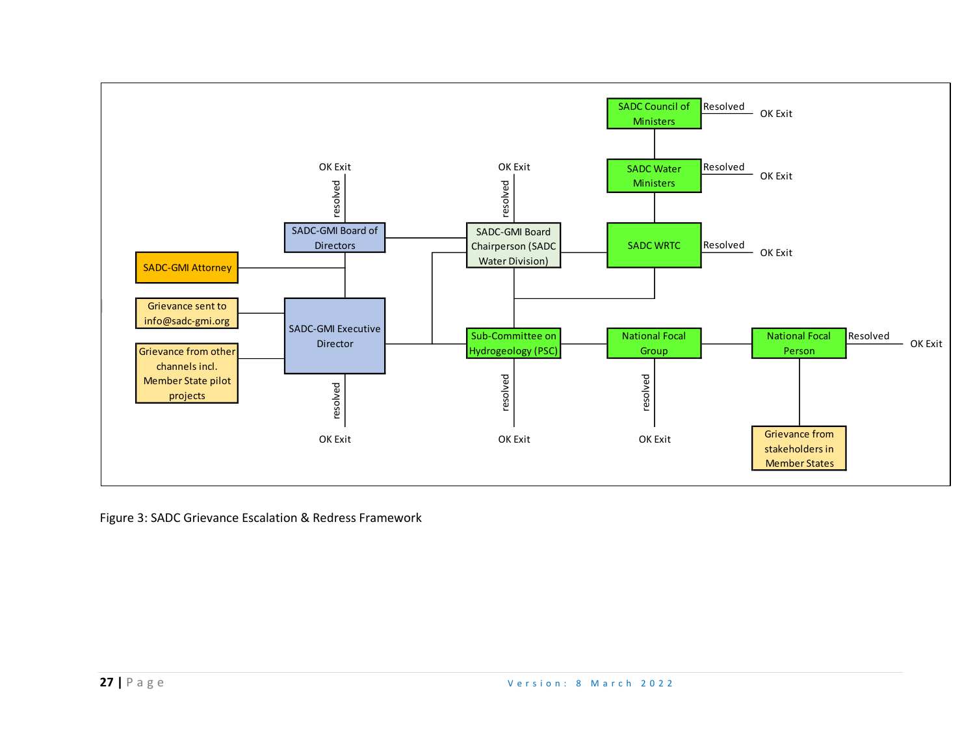

Figure 3: SADC Grievance Escalation & Redress Framework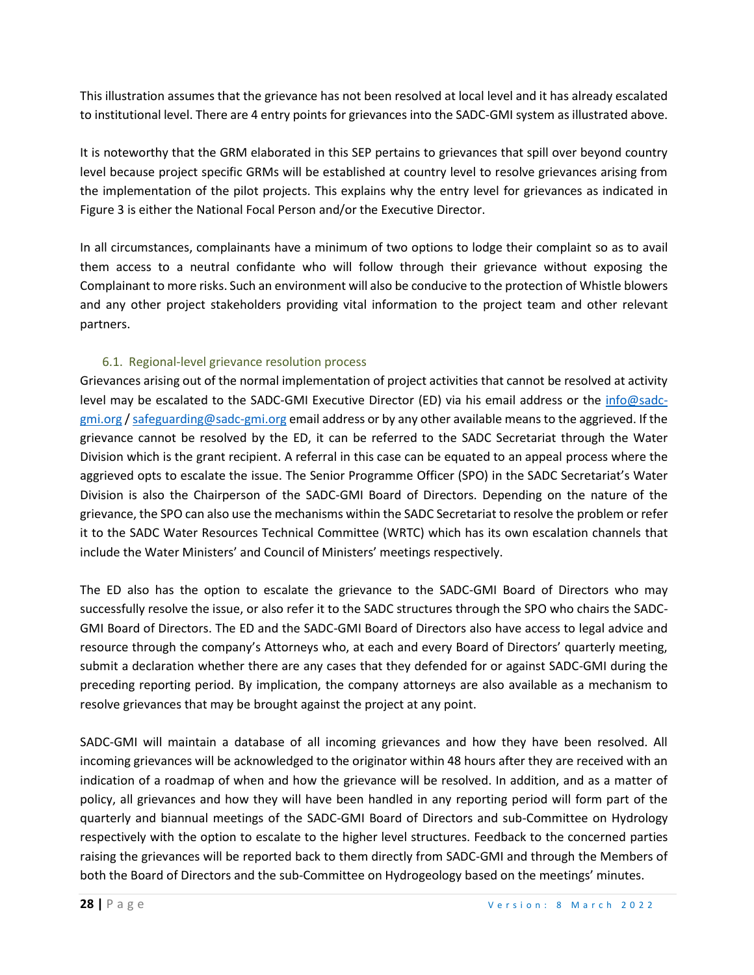This illustration assumes that the grievance has not been resolved at local level and it has already escalated to institutional level. There are 4 entry points for grievances into the SADC-GMI system as illustrated above.

It is noteworthy that the GRM elaborated in this SEP pertains to grievances that spill over beyond country level because project specific GRMs will be established at country level to resolve grievances arising from the implementation of the pilot projects. This explains why the entry level for grievances as indicated in Figure 3 is either the National Focal Person and/or the Executive Director.

In all circumstances, complainants have a minimum of two options to lodge their complaint so as to avail them access to a neutral confidante who will follow through their grievance without exposing the Complainant to more risks. Such an environment will also be conducive to the protection of Whistle blowers and any other project stakeholders providing vital information to the project team and other relevant partners.

## 6.1. Regional-level grievance resolution process

Grievances arising out of the normal implementation of project activities that cannot be resolved at activity level may be escalated to the SADC-GMI Executive Director (ED) via his email address or the [info@sadc](about:blank)[gmi.org](about:blank) [/ safeguarding@sadc-gmi.org](mailto:safeguarding@sadc-gmi.org) email address or by any other available means to the aggrieved. If the grievance cannot be resolved by the ED, it can be referred to the SADC Secretariat through the Water Division which is the grant recipient. A referral in this case can be equated to an appeal process where the aggrieved opts to escalate the issue. The Senior Programme Officer (SPO) in the SADC Secretariat's Water Division is also the Chairperson of the SADC-GMI Board of Directors. Depending on the nature of the grievance, the SPO can also use the mechanisms within the SADC Secretariat to resolve the problem or refer it to the SADC Water Resources Technical Committee (WRTC) which has its own escalation channels that include the Water Ministers' and Council of Ministers' meetings respectively.

The ED also has the option to escalate the grievance to the SADC-GMI Board of Directors who may successfully resolve the issue, or also refer it to the SADC structures through the SPO who chairs the SADC-GMI Board of Directors. The ED and the SADC-GMI Board of Directors also have access to legal advice and resource through the company's Attorneys who, at each and every Board of Directors' quarterly meeting, submit a declaration whether there are any cases that they defended for or against SADC-GMI during the preceding reporting period. By implication, the company attorneys are also available as a mechanism to resolve grievances that may be brought against the project at any point.

SADC-GMI will maintain a database of all incoming grievances and how they have been resolved. All incoming grievances will be acknowledged to the originator within 48 hours after they are received with an indication of a roadmap of when and how the grievance will be resolved. In addition, and as a matter of policy, all grievances and how they will have been handled in any reporting period will form part of the quarterly and biannual meetings of the SADC-GMI Board of Directors and sub-Committee on Hydrology respectively with the option to escalate to the higher level structures. Feedback to the concerned parties raising the grievances will be reported back to them directly from SADC-GMI and through the Members of both the Board of Directors and the sub-Committee on Hydrogeology based on the meetings' minutes.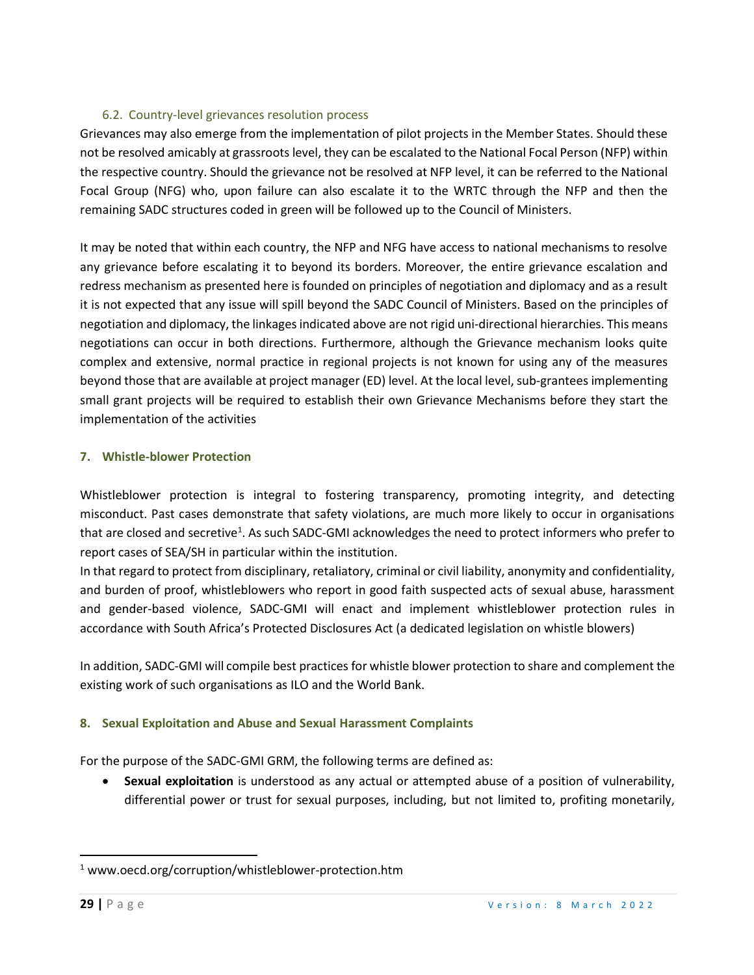### 6.2. Country-level grievances resolution process

Grievances may also emerge from the implementation of pilot projects in the Member States. Should these not be resolved amicably at grassroots level, they can be escalated to the National Focal Person (NFP) within the respective country. Should the grievance not be resolved at NFP level, it can be referred to the National Focal Group (NFG) who, upon failure can also escalate it to the WRTC through the NFP and then the remaining SADC structures coded in green will be followed up to the Council of Ministers.

It may be noted that within each country, the NFP and NFG have access to national mechanisms to resolve any grievance before escalating it to beyond its borders. Moreover, the entire grievance escalation and redress mechanism as presented here is founded on principles of negotiation and diplomacy and as a result it is not expected that any issue will spill beyond the SADC Council of Ministers. Based on the principles of negotiation and diplomacy, the linkages indicated above are not rigid uni-directional hierarchies. This means negotiations can occur in both directions. Furthermore, although the Grievance mechanism looks quite complex and extensive, normal practice in regional projects is not known for using any of the measures beyond those that are available at project manager (ED) level. At the local level, sub-grantees implementing small grant projects will be required to establish their own Grievance Mechanisms before they start the implementation of the activities

#### **7. Whistle-blower Protection**

Whistleblower protection is integral to fostering transparency, promoting integrity, and detecting misconduct. Past cases demonstrate that safety violations, are much more likely to occur in organisations that are closed and secretive<sup>1</sup>. As such SADC-GMI acknowledges the need to protect informers who prefer to report cases of SEA/SH in particular within the institution.

In that regard to protect from disciplinary, retaliatory, criminal or civil liability, anonymity and confidentiality, and burden of proof, whistleblowers who report in good faith suspected acts of sexual abuse, harassment and gender-based violence, SADC-GMI will enact and implement whistleblower protection rules in accordance with South Africa's Protected Disclosures Act (a dedicated legislation on whistle blowers)

In addition, SADC-GMI will compile best practices for whistle blower protection to share and complement the existing work of such organisations as ILO and the World Bank.

## **8. Sexual Exploitation and Abuse and Sexual Harassment Complaints**

For the purpose of the SADC-GMI GRM, the following terms are defined as:

• **Sexual exploitation** is understood as any actual or attempted abuse of a position of vulnerability, differential power or trust for sexual purposes, including, but not limited to, profiting monetarily,

<sup>&</sup>lt;sup>1</sup> www.oecd.org/corruption/whistleblower-protection.htm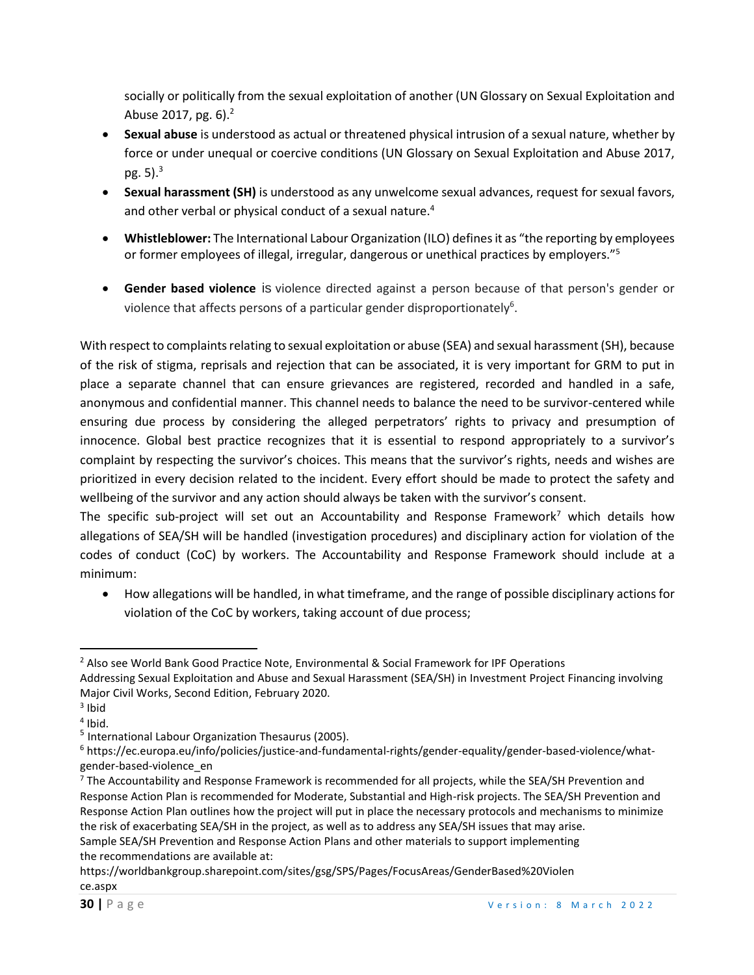socially or politically from the sexual exploitation of another (UN Glossary on Sexual Exploitation and Abuse 2017, pg. 6).<sup>2</sup>

- **Sexual abuse** is understood as actual or threatened physical intrusion of a sexual nature, whether by force or under unequal or coercive conditions (UN Glossary on Sexual Exploitation and Abuse 2017, pg.  $5$ ). $3$
- **Sexual harassment (SH)** is understood as any unwelcome sexual advances, request for sexual favors, and other verbal or physical conduct of a sexual nature.<sup>4</sup>
- **Whistleblower:** The International Labour Organization (ILO) defines it as "the reporting by employees or former employees of illegal, irregular, dangerous or unethical practices by employers."<sup>5</sup>
- **Gender based violence** is violence directed against a person because of that person's gender or violence that affects persons of a particular gender disproportionately<sup>6</sup>.

With respect to complaints relating to sexual exploitation or abuse (SEA) and sexual harassment (SH), because of the risk of stigma, reprisals and rejection that can be associated, it is very important for GRM to put in place a separate channel that can ensure grievances are registered, recorded and handled in a safe, anonymous and confidential manner. This channel needs to balance the need to be survivor-centered while ensuring due process by considering the alleged perpetrators' rights to privacy and presumption of innocence. Global best practice recognizes that it is essential to respond appropriately to a survivor's complaint by respecting the survivor's choices. This means that the survivor's rights, needs and wishes are prioritized in every decision related to the incident. Every effort should be made to protect the safety and wellbeing of the survivor and any action should always be taken with the survivor's consent.

The specific sub-project will set out an Accountability and Response Framework<sup>7</sup> which details how allegations of SEA/SH will be handled (investigation procedures) and disciplinary action for violation of the codes of conduct (CoC) by workers. The Accountability and Response Framework should include at a minimum:

• How allegations will be handled, in what timeframe, and the range of possible disciplinary actions for violation of the CoC by workers, taking account of due process;

Sample SEA/SH Prevention and Response Action Plans and other materials to support implementing the recommendations are available at:

<sup>&</sup>lt;sup>2</sup> Also see World Bank Good Practice Note, Environmental & Social Framework for IPF Operations Addressing Sexual Exploitation and Abuse and Sexual Harassment (SEA/SH) in Investment Project Financing involving Major Civil Works, Second Edition, February 2020.

<sup>&</sup>lt;sup>3</sup> Ibid

<sup>4</sup> Ibid.

<sup>&</sup>lt;sup>5</sup> International Labour Organization Thesaurus (2005).

<sup>6</sup> https://ec.europa.eu/info/policies/justice-and-fundamental-rights/gender-equality/gender-based-violence/whatgender-based-violence\_en

 $<sup>7</sup>$  The Accountability and Response Framework is recommended for all projects, while the SEA/SH Prevention and</sup> Response Action Plan is recommended for Moderate, Substantial and High-risk projects. The SEA/SH Prevention and Response Action Plan outlines how the project will put in place the necessary protocols and mechanisms to minimize the risk of exacerbating SEA/SH in the project, as well as to address any SEA/SH issues that may arise.

https://worldbankgroup.sharepoint.com/sites/gsg/SPS/Pages/FocusAreas/GenderBased%20Violen ce.aspx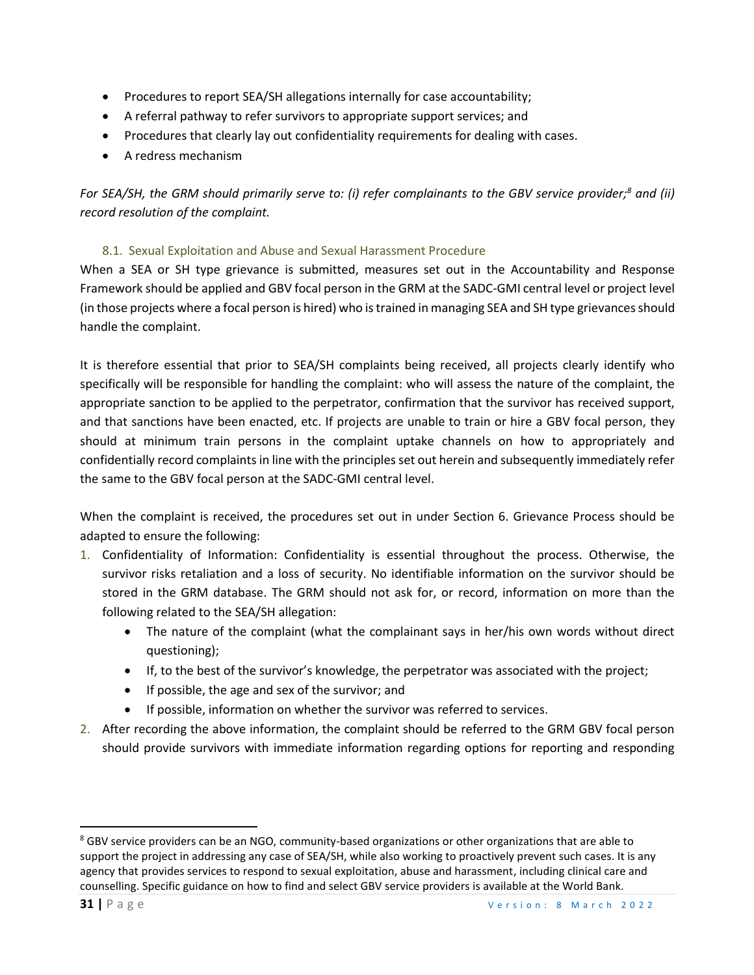- Procedures to report SEA/SH allegations internally for case accountability;
- A referral pathway to refer survivors to appropriate support services; and
- Procedures that clearly lay out confidentiality requirements for dealing with cases.
- A redress mechanism

*For SEA/SH, the GRM should primarily serve to: (i) refer complainants to the GBV service provider;<sup>8</sup> and (ii) record resolution of the complaint.*

## 8.1. Sexual Exploitation and Abuse and Sexual Harassment Procedure

When a SEA or SH type grievance is submitted, measures set out in the Accountability and Response Framework should be applied and GBV focal person in the GRM at the SADC-GMI central level or project level (in those projects where a focal person is hired) who is trained in managing SEA and SH type grievances should handle the complaint.

It is therefore essential that prior to SEA/SH complaints being received, all projects clearly identify who specifically will be responsible for handling the complaint: who will assess the nature of the complaint, the appropriate sanction to be applied to the perpetrator, confirmation that the survivor has received support, and that sanctions have been enacted, etc. If projects are unable to train or hire a GBV focal person, they should at minimum train persons in the complaint uptake channels on how to appropriately and confidentially record complaints in line with the principles set out herein and subsequently immediately refer the same to the GBV focal person at the SADC-GMI central level.

When the complaint is received, the procedures set out in under Section 6. Grievance Process should be adapted to ensure the following:

- 1. Confidentiality of Information: Confidentiality is essential throughout the process. Otherwise, the survivor risks retaliation and a loss of security. No identifiable information on the survivor should be stored in the GRM database. The GRM should not ask for, or record, information on more than the following related to the SEA/SH allegation:
	- The nature of the complaint (what the complainant says in her/his own words without direct questioning);
	- If, to the best of the survivor's knowledge, the perpetrator was associated with the project;
	- If possible, the age and sex of the survivor; and
	- If possible, information on whether the survivor was referred to services.
- 2. After recording the above information, the complaint should be referred to the GRM GBV focal person should provide survivors with immediate information regarding options for reporting and responding

<sup>&</sup>lt;sup>8</sup> GBV service providers can be an NGO, community-based organizations or other organizations that are able to support the project in addressing any case of SEA/SH, while also working to proactively prevent such cases. It is any agency that provides services to respond to sexual exploitation, abuse and harassment, including clinical care and counselling. Specific guidance on how to find and select GBV service providers is available at the World Bank.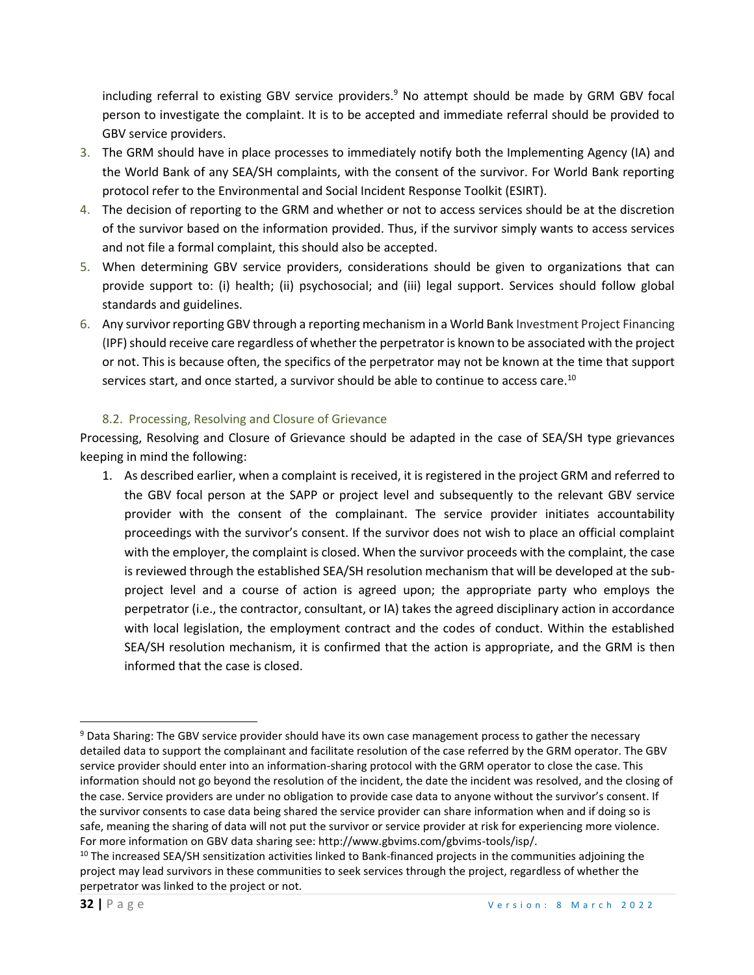including referral to existing GBV service providers.<sup>9</sup> No attempt should be made by GRM GBV focal person to investigate the complaint. It is to be accepted and immediate referral should be provided to GBV service providers.

- 3. The GRM should have in place processes to immediately notify both the Implementing Agency (IA) and the World Bank of any SEA/SH complaints, with the consent of the survivor. For World Bank reporting protocol refer to the Environmental and Social Incident Response Toolkit (ESIRT).
- 4. The decision of reporting to the GRM and whether or not to access services should be at the discretion of the survivor based on the information provided. Thus, if the survivor simply wants to access services and not file a formal complaint, this should also be accepted.
- 5. When determining GBV service providers, considerations should be given to organizations that can provide support to: (i) health; (ii) psychosocial; and (iii) legal support. Services should follow global standards and guidelines.
- 6. Any survivor reporting GBV through a reporting mechanism in a World Bank Investment Project Financing (IPF) should receive care regardless of whether the perpetrator is known to be associated with the project or not. This is because often, the specifics of the perpetrator may not be known at the time that support services start, and once started, a survivor should be able to continue to access care.<sup>10</sup>

#### 8.2. Processing, Resolving and Closure of Grievance

Processing, Resolving and Closure of Grievance should be adapted in the case of SEA/SH type grievances keeping in mind the following:

1. As described earlier, when a complaint is received, it is registered in the project GRM and referred to the GBV focal person at the SAPP or project level and subsequently to the relevant GBV service provider with the consent of the complainant. The service provider initiates accountability proceedings with the survivor's consent. If the survivor does not wish to place an official complaint with the employer, the complaint is closed. When the survivor proceeds with the complaint, the case is reviewed through the established SEA/SH resolution mechanism that will be developed at the subproject level and a course of action is agreed upon; the appropriate party who employs the perpetrator (i.e., the contractor, consultant, or IA) takes the agreed disciplinary action in accordance with local legislation, the employment contract and the codes of conduct. Within the established SEA/SH resolution mechanism, it is confirmed that the action is appropriate, and the GRM is then informed that the case is closed.

<sup>&</sup>lt;sup>9</sup> Data Sharing: The GBV service provider should have its own case management process to gather the necessary detailed data to support the complainant and facilitate resolution of the case referred by the GRM operator. The GBV service provider should enter into an information-sharing protocol with the GRM operator to close the case. This information should not go beyond the resolution of the incident, the date the incident was resolved, and the closing of the case. Service providers are under no obligation to provide case data to anyone without the survivor's consent. If the survivor consents to case data being shared the service provider can share information when and if doing so is safe, meaning the sharing of data will not put the survivor or service provider at risk for experiencing more violence. For more information on GBV data sharing see: http://www.gbvims.com/gbvims-tools/isp/.

 $10$  The increased SEA/SH sensitization activities linked to Bank-financed projects in the communities adjoining the project may lead survivors in these communities to seek services through the project, regardless of whether the perpetrator was linked to the project or not.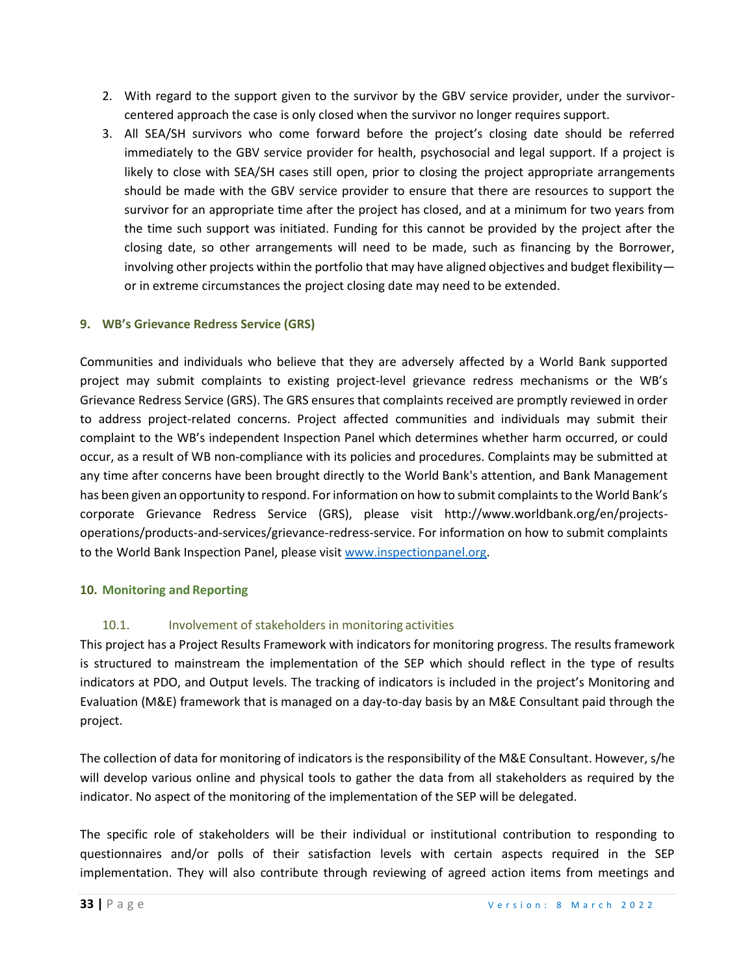- 2. With regard to the support given to the survivor by the GBV service provider, under the survivorcentered approach the case is only closed when the survivor no longer requires support.
- 3. All SEA/SH survivors who come forward before the project's closing date should be referred immediately to the GBV service provider for health, psychosocial and legal support. If a project is likely to close with SEA/SH cases still open, prior to closing the project appropriate arrangements should be made with the GBV service provider to ensure that there are resources to support the survivor for an appropriate time after the project has closed, and at a minimum for two years from the time such support was initiated. Funding for this cannot be provided by the project after the closing date, so other arrangements will need to be made, such as financing by the Borrower, involving other projects within the portfolio that may have aligned objectives and budget flexibility or in extreme circumstances the project closing date may need to be extended.

## **9. WB's Grievance Redress Service (GRS)**

Communities and individuals who believe that they are adversely affected by a World Bank supported project may submit complaints to existing project-level grievance redress mechanisms or the WB's Grievance Redress Service (GRS). The GRS ensures that complaints received are promptly reviewed in order to address project-related concerns. Project affected communities and individuals may submit their complaint to the WB's independent Inspection Panel which determines whether harm occurred, or could occur, as a result of WB non-compliance with its policies and procedures. Complaints may be submitted at any time after concerns have been brought directly to the World Bank's attention, and Bank Management has been given an opportunity to respond. For information on how to submit complaints to the World Bank's corporate Grievance Redress Service (GRS), please visit http://www.worldbank.org/en/projectsoperations/products-and-services/grievance-redress-service. For information on how to submit complaints to the World Bank Inspection Panel, please visit [www.inspectionpanel.org.](about:blank)

#### **10. Monitoring and Reporting**

## 10.1. Involvement of stakeholders in monitoring activities

This project has a Project Results Framework with indicators for monitoring progress. The results framework is structured to mainstream the implementation of the SEP which should reflect in the type of results indicators at PDO, and Output levels. The tracking of indicators is included in the project's Monitoring and Evaluation (M&E) framework that is managed on a day-to-day basis by an M&E Consultant paid through the project.

The collection of data for monitoring of indicators is the responsibility of the M&E Consultant. However, s/he will develop various online and physical tools to gather the data from all stakeholders as required by the indicator. No aspect of the monitoring of the implementation of the SEP will be delegated.

The specific role of stakeholders will be their individual or institutional contribution to responding to questionnaires and/or polls of their satisfaction levels with certain aspects required in the SEP implementation. They will also contribute through reviewing of agreed action items from meetings and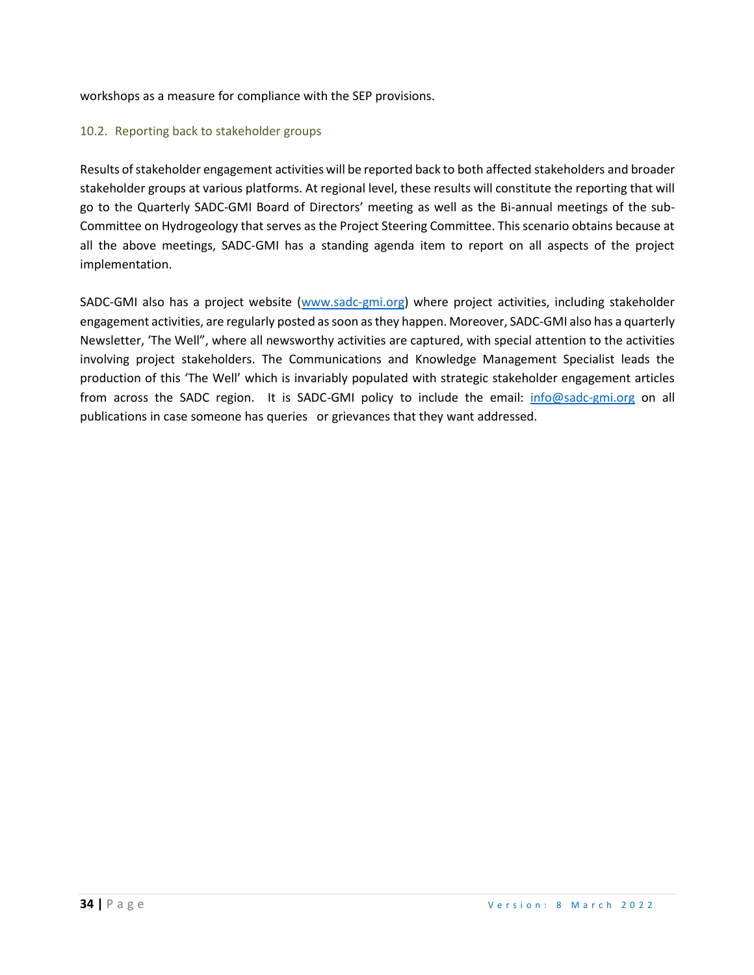workshops as a measure for compliance with the SEP provisions.

#### 10.2. Reporting back to stakeholder groups

Results of stakeholder engagement activities will be reported back to both affected stakeholders and broader stakeholder groups at various platforms. At regional level, these results will constitute the reporting that will go to the Quarterly SADC-GMI Board of Directors' meeting as well as the Bi-annual meetings of the sub-Committee on Hydrogeology that serves as the Project Steering Committee. This scenario obtains because at all the above meetings, SADC-GMI has a standing agenda item to report on all aspects of the project implementation.

SADC-GMI also has a project website [\(www.sadc-gmi.org\)](about:blank) where project activities, including stakeholder engagement activities, are regularly posted as soon as they happen. Moreover, SADC-GMI also has a quarterly Newsletter, 'The Well", where all newsworthy activities are captured, with special attention to the activities involving project stakeholders. The Communications and Knowledge Management Specialist leads the production of this 'The Well' which is invariably populated with strategic stakeholder engagement articles from across the SADC region. It is SADC-GMI policy to include the email: [info@sadc-gmi.org](mailto:info@sadc-gmi.org) on all publications in case someone has queries or grievances that they want addressed.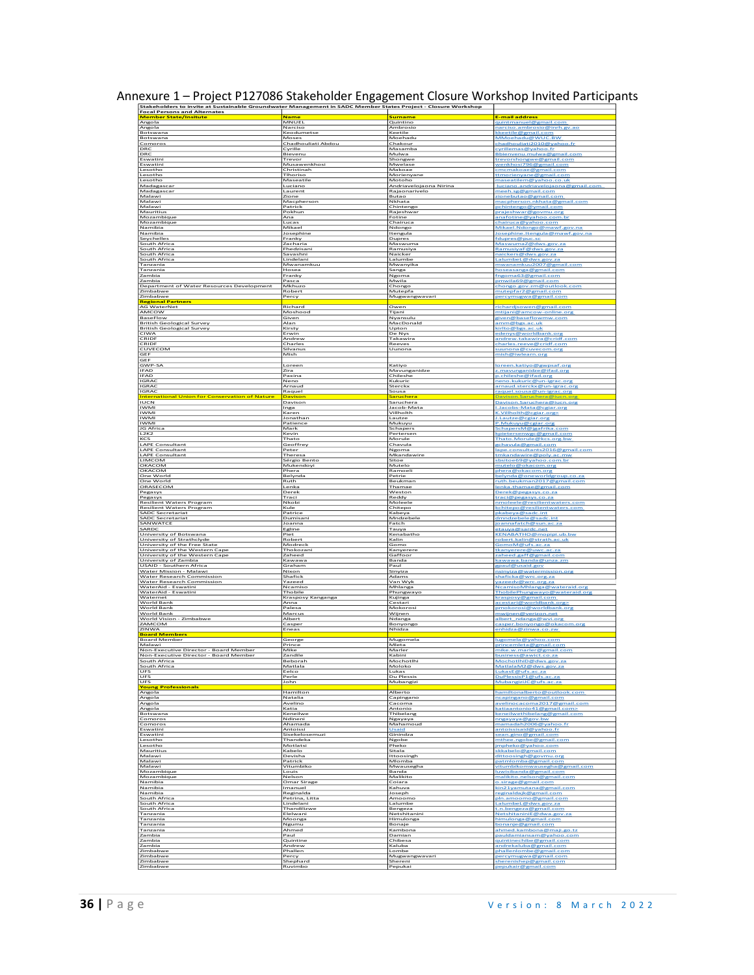| Stakeholders to invite at Sustainable Groundwater Management in SADC Member States Project - Closure Workshop<br><b>Focal Persons and Alternates</b> |                                        |                                |                                                                                    |
|------------------------------------------------------------------------------------------------------------------------------------------------------|----------------------------------------|--------------------------------|------------------------------------------------------------------------------------|
| <b>Member State/Insitute</b>                                                                                                                         | Name                                   | Surname                        | <b>E-mail address</b>                                                              |
| Angola                                                                                                                                               | MNUEL                                  | Quintino                       | quintmanuel@gmail.com                                                              |
| Angola<br>Botswana                                                                                                                                   | Narciso<br>Keodumetse                  | Ambrosio<br>Keetile<br>Moehadu | narciso.ambrosio@inrh.g<br>kkeetile@gmail.com<br>MMoehadu@WUC.BV                   |
| Botswana<br>Comoro:<br>DRC                                                                                                                           | Moses<br>Chadhouliati Abdou<br>Cyrille | Chakour<br>Masamba             | chadhouliati2010@yahoo.fr<br>:yrillemas@yahoo.fr                                   |
| DRO                                                                                                                                                  | Bievenu                                | Mulwa                          | Bbienvenu.mulwa@gmail.com                                                          |
| Eswatini                                                                                                                                             | Trevor                                 | Shongwe                        | trevorshongwe@gmail.com                                                            |
| Eswatini                                                                                                                                             | Musawenkhosi                           | Mwelase                        | wenkhosi796@gmail.com                                                              |
| Lesotho                                                                                                                                              | Christinah                             | Makoae                         | cmcmakoae@gmail.com                                                                |
| Lesotho                                                                                                                                              | Tihoriso                               | Morienyane                     | ttmorienvane@gmail.com                                                             |
| Lesotho                                                                                                                                              | Maseatile                              | Motoho                         | maseatilem@yahoo.co.ul                                                             |
| Madagascar                                                                                                                                           | Luciano                                | Andriavelojaona Nirina         | luciano, andriavelojaona@                                                          |
| Madagascar                                                                                                                                           | Laurent                                | Rajaonarivelo                  | meeh.sg@gmail.com                                                                  |
| Malawi                                                                                                                                               | Zione                                  | Butao                          | donebutao@gmail.com                                                                |
| Malawi                                                                                                                                               | Macpherson                             | Nkhata                         | macpherson.nkhata@gmail.com                                                        |
| Malawi                                                                                                                                               | Patrick                                | Chintengo                      | pchintengo@ymail.com                                                               |
| Mauritius                                                                                                                                            | Pokhun                                 | Rajeshwar                      | praieshwar@govmu.org                                                               |
| Mozambique                                                                                                                                           | Ana                                    | Fotine                         | anafotine@yahoo.com.bi                                                             |
| Mozambique                                                                                                                                           | Lucas                                  | Chairuca                       | chairuca@yahoo.com                                                                 |
| Namibia                                                                                                                                              | Mikael                                 | Ndongo                         | Mikael.Ndongo@mawf.gov.na                                                          |
| Namibia                                                                                                                                              | Josephine                              | Itengula                       | Josephine.Itengula@mawf.gov                                                        |
| Seychelles                                                                                                                                           | Franky                                 | <b>Dupres</b>                  | fdupres@puc.sc                                                                     |
| South Africa                                                                                                                                         | Zacharia                               | Maswuma                        | MaswumaZ@dw                                                                        |
| South Africa                                                                                                                                         | Fhedzisani                             | Ramusiya                       | RamusiyaF@dws.gov.za                                                               |
| South Africa                                                                                                                                         | Savashni                               | Naicker                        | naickers@dws.gov.za                                                                |
| South Africa                                                                                                                                         | Lindelani                              | Lalumbe                        | LalumbeL@dws.gov.za                                                                |
| Tanzania                                                                                                                                             | Mwanamkuu                              | Mwanyika                       | mwanamkuu2007@gmail.com                                                            |
| Tanzania                                                                                                                                             | Hosea                                  | Sanga                          | hoseasanga@gmail.com                                                               |
| Zambia                                                                                                                                               | Franky                                 | Ngoma                          | fngoma63@gmail.com                                                                 |
| Zambia                                                                                                                                               | Pasca                                  | Mwila                          | pmwila69@gmail.com                                                                 |
| Department of Water Resources Development                                                                                                            | Mkhuzo                                 | Chongo                         | chongo.gov.zm@outlook                                                              |
| Zimbabwe                                                                                                                                             | Robert                                 | Mutepfa                        | mutepfar2@gmail.com                                                                |
| Zimbabwe                                                                                                                                             | Percy                                  | Mugwangwavari                  | <u>percymugwa@gmail.co</u>                                                         |
| <b>Regional Partners</b><br><b>AG WaterNet</b>                                                                                                       | Richard                                | Owen                           | richardisowen@gmail.com                                                            |
| AMCOW                                                                                                                                                | Moshood                                | Tijani                         | mtijani@amcow-online.org                                                           |
| BaseFlow                                                                                                                                             | Given                                  | Nyansulu                       | given@baseflowmw.com                                                               |
| <b>British Geological Survey</b>                                                                                                                     | Alan                                   | MacDonald                      | amm@bgs.ac.uk                                                                      |
| <b>British Geological Survey</b>                                                                                                                     | Kirsty                                 | Upton                          | kirlto@bgs.ac.uk                                                                   |
| CIWA                                                                                                                                                 | Erwin                                  | De Nys                         | denys@worldbank.org                                                                |
| CRIDE                                                                                                                                                | Andrew                                 | Takawira                       | andrew.takawira@cridf                                                              |
| CRIDE                                                                                                                                                | Charles                                | Reeves                         | harles.reeve@cridf.com                                                             |
| CUVECOM<br>GEF<br>GEF                                                                                                                                | Silvanus<br>Mish                       | Uunona                         | suunona@cuvecom.org<br>mish@iwlearn.org                                            |
| GWP-SA                                                                                                                                               | Loreen                                 | Katiyo                         | loreen.katiyo@gwpsaf.org                                                           |
| <b>IFAD</b>                                                                                                                                          | Zira                                   | Mavunganidze                   | z.mavunganidze@ifad.org                                                            |
| <b>IFAD</b>                                                                                                                                          | Paxina                                 | Chileshe                       | p.chileshe@ifad.org                                                                |
| <b>IGRA</b>                                                                                                                                          | Neno                                   | Kukuric                        | neno.kukuric@un-igrac.org                                                          |
| <b>IGRAC</b>                                                                                                                                         | Arnaud                                 | Sterckx                        | arnaud.sterckx@un-igrac.org                                                        |
| <b>IGRAC</b><br><b>International Union for Conservation of Nature</b>                                                                                | Raquel<br>Davison                      | Sousa<br>Saruchera             | aquel<br>sousa@un-igra<br>Davison. Saruchera@iuc                                   |
| <b>IUCN</b>                                                                                                                                          | Davison                                | Saruchera                      | Davison.Saruchera@iucn                                                             |
| <b>IWMI</b>                                                                                                                                          | Inga                                   | Jacob-Mata                     | I.Jacobs-Mata@cgiar.org                                                            |
| <b>IWMI</b><br><b>IWM</b><br><b>IWMI</b>                                                                                                             | Karer<br>Jonathan<br>Patience          | Villholth<br>Lautze<br>Mukuyu  | K.Villholth@cgiar.org<br>L.Lautze@cgiar.org                                        |
| JG Africa<br>L <sub>2K2</sub>                                                                                                                        | Mark<br>Kevin                          | Schapers<br>Pertersen          | P.Mukuyu@cgiar.org<br>SchapersM@jgafrika.c<br>kpietersenwgc@gmail.com              |
| KCS                                                                                                                                                  | Thato                                  | Morule                         | Thato.Morule@kc:                                                                   |
| <b>LAPE Consultant</b>                                                                                                                               | Geoffrey                               | Chavula                        | <u>gchavula@gmail.com</u>                                                          |
| LAPE Consultant<br>LAPE Consultant<br><b>IIMCOM</b>                                                                                                  | Peter<br>Theresa                       | Ngoma<br>Mkandawire<br>Sitoe   | lape<br>onsultants:<br>gmail<br>mkandawire@poly.a<br>sbsitoe69@vahoo.com.br        |
| OKACOM<br>OKACOM                                                                                                                                     | Sérgio Bento<br>Mukendoyi<br>Phera     | Mutelo<br>Ramoeli              | mutelo@okacom.org<br>phera@okacom.org                                              |
| One World                                                                                                                                            | Belynda                                | Petrie                         | belynda@oneworldgroup.co.za                                                        |
| One World                                                                                                                                            | Ruth                                   | Beukmar                        | ruth.beukman2017@gmail.com                                                         |
| ORASECOM                                                                                                                                             | Lenka                                  | Thamae                         | lenka.thamae@                                                                      |
| Pegasys                                                                                                                                              | Derel                                  | Weston                         | erek@pegasys.co                                                                    |
| Pegasys                                                                                                                                              | Traci                                  | Reddy                          | traci@pegasys.co.za                                                                |
| <b>Resilient Waters Program</b><br><b>Resilient Waters Program</b>                                                                                   | Nkobi<br>Kule                          | Moleele<br>Chitepo             | nmoleele@resilientwaters.com<br>kchitepo@resilientwaters<br>.com                   |
| <b>SADC Secretariat</b><br>SADC Secretariat<br>SANWATCE                                                                                              | Patrice<br>Dumisani<br>Joanna          | Kabeya<br>Mndzebele<br>Fatch   | okabi<br>sadc<br>int<br><u>dmndzebele@sadc.int</u><br><u>ioannafatch@</u><br>sun.a |
| SARDO                                                                                                                                                | Egline                                 | Tauya                          | KENABATHO@mopipi.ub.bw                                                             |
| University of Botswana                                                                                                                               | Piet                                   | Kenabatho                      |                                                                                    |
| University of Strathclyde                                                                                                                            | Robert                                 | Kalin                          | robert.kalin@strath.ac.uk                                                          |
| University of the Free State                                                                                                                         | Modreck                                | Gomo                           | GomoM@ufs.ac                                                                       |
| University of the Western Cape                                                                                                                       | Thokozani                              | Kanyerere                      | tkanverere@uw                                                                      |
| University of the Western Cape                                                                                                                       | Zaheed                                 | Gaffoo                         | caheed.gaff@gmail.com                                                              |
| University of Zambia                                                                                                                                 | Kawawa                                 | Banda                          | <u>kawawa, banda@</u>                                                              |
| USAID - Southern Africa<br>Water Mission - Malawi                                                                                                    | Graham<br>Nixon                        | Paul<br>Sinyiza                | tpaul@<br>usaid.go<br>nsinyiza@watermission.org                                    |
| Water Research Commission<br>Water Research Commission<br>WaterAid - Eswatini                                                                        | Shafick<br>Yazeed<br>Ncamisc           | Adams<br>Van Wyk<br>Mhlanga    | shaficka@wrc.org.za<br>vazeedv@wrc<br>org.<br>NcamisoMhlanga<br>wateraid.org       |
| WaterAid - Eswatini                                                                                                                                  | Thobile                                | Phungwayc                      | <u>ThobilePhungwayo@wateraid.org</u>                                               |
| Waternet                                                                                                                                             | Krasposy Kanganga                      | Kujinga                        | <u>krasposy@gmail.com</u>                                                          |
| <b>World Bank</b>                                                                                                                                    | Anna                                   | Cestari                        | <u>pmokorosi@worldbank.org</u>                                                     |
| World Bank                                                                                                                                           | Palesa                                 | Mokorosi                       |                                                                                    |
| World Bank<br>World Vision - Zimbabwe<br>ZAMCOM                                                                                                      | Marcus<br>Albert<br>Casper             | Wijnen<br>Ndanga<br>Bonyongo   | mwijnen@verizon.net<br>albert<br>ndanga@wvi.org<br>casper.bonyongo@oka             |
| ZINWA<br><b>Board Members</b>                                                                                                                        | Eneas                                  | Nhidza                         | nhidza@zinwa.co.zw                                                                 |
| <b>Board Member</b><br>Malawi                                                                                                                        | George<br>Prince<br>Mike               | Mugomela<br>Mleta<br>Marler    | lugomela@yahoo.com<br>princemleta@gmail.com                                        |
| Non-Executive Director - Board Member<br>Non-Executive Director - Board Member<br>South Africa                                                       | Zandile<br>Beborah                     | Kabini<br>Mochotlhi            | mike.w.marler@gmail.com<br>awict<br>:hotlhiDr                                      |
| South Africa<br>UFS                                                                                                                                  | Matlala<br>Eelco                       | Moloko<br>Lukas                | AatlalaM2@dws.gov.za<br>LukasE<br>шf                                               |
| UFS<br>UFS<br>Young Professionals                                                                                                                    | Perle<br>John                          | Du Plessis<br>Mubangizi        | uPlessisP1<br>MubangiziJC@ufs.ac<br>.28                                            |
| Angola                                                                                                                                               | Hamilton                               | Alberto                        | hamiltonalberto@outlook.com                                                        |
| Angola                                                                                                                                               | Natalia                                | Capingano                      | ncapingano@gmail.com                                                               |
| Angola                                                                                                                                               | Avelina                                | Cacoma                         | ivelinocacoma2017@gmail.                                                           |
| Angola                                                                                                                                               | Katia                                  | Antonio                        | <u>katiaantonio41@gmail.com</u>                                                    |
| Botswana<br>Comoro:<br>Comoros                                                                                                                       | Keneilwe<br>Ndineni                    | Thibelang<br>Ngayaya           | eneilwethibelan<br>nngayaya@goy.bw<br>namadah2006@yahoo.f                          |
| Eswatini<br>Eswatini                                                                                                                                 | Ahamada<br>Antoissi<br>Sisekelosemuzi  | Mahamoud<br>Usaid<br>Ginindza  | antoissisaid@yahoo.fi<br>sean.gino@gmail.com                                       |
| Lesotho                                                                                                                                              | Thandeka                               | Ngobe                          | nthee.ngobe@gmail.                                                                 |
| Lesotho                                                                                                                                              | Motlatsi                               | Pheko                          | jmpheko@yahoo.com                                                                  |
| Mauritius                                                                                                                                            | Kabelo                                 | Sitala                         | skkabelo@gmail.                                                                    |
| Malawi                                                                                                                                               | Devisha                                | Ittoosingh                     | dittoosingh@govmu.or                                                               |
| Malawi                                                                                                                                               | Patrick                                | Mlomba                         | patmlomba@gmail.com                                                                |
| Malawi                                                                                                                                               | Vitumbiko                              | Mwausegha                      | vitumbikomwausegha@gmail.com                                                       |
| Mozambique                                                                                                                                           | Louis                                  | Banda                          | luwisibanda@gmail.com                                                              |
| Mozambique                                                                                                                                           | Nelson                                 | Malikito                       | malikito.nelson@gmail.c                                                            |
| Namibia                                                                                                                                              | Omar Sirage                            | Coiara                         | o.sirage@gmail.com                                                                 |
| Namibia                                                                                                                                              | Imanuel                                | Kahuva                         | sin21yamutana@gmai                                                                 |
| Namibia                                                                                                                                              | Reginalda                              | Joseph                         | reginaldajk@gmail.com                                                              |
| South Africa                                                                                                                                         | Petrina, Litta                         | Amoomo                         | pln.amoomo@gmail.com                                                               |
| South Africa                                                                                                                                         | Lindelani                              | Lalumbe                        | LalumbeL@dws.gov.za                                                                |
| South Africa                                                                                                                                         | Thandilizwe                            | Bengeza                        | t.n.bengeza@gmail.com                                                              |
| Tanzania                                                                                                                                             | Elelwani                               | Netshitanini                   | NetshitaniniE@dwa.gov                                                              |
| Tanzania                                                                                                                                             | Moonga                                 | Himulonga                      | himulonga@gmail.com                                                                |
| Tanzania<br>Tanzania<br>Zambia                                                                                                                       | Ngumu<br>Ahmed<br>Paul                 | Bonaje<br>Kambona<br>Damian    | bonanje@gmail.com<br>ahmed.kambona@maji.go.t                                       |
| Zambia<br>Zambia                                                                                                                                     | Quintine<br>Andrew                     | Chibesa<br>Kaluba              | bauldamiansam@yahoo.com<br>quintinechibe@gmail.com<br>andrekaluba@gmail.com        |
| Zimbabwe                                                                                                                                             | Phallen                                | Lombe                          | phallenlombe@gmail.com                                                             |
| Zimbabwe                                                                                                                                             | Percy                                  | Mugwangwavari                  | percymugwa@gmail.com                                                               |
| Zimbabwe                                                                                                                                             | Shephard                               | Shereni                        | herenishep@gmail.com                                                               |
| Zimbabwe                                                                                                                                             | Ruvimbo                                | Pepukai                        | pepukair@gmail.com                                                                 |

Annexure 1 – Project P127086 Stakeholder Engagement Closure Workshop Invited Participants